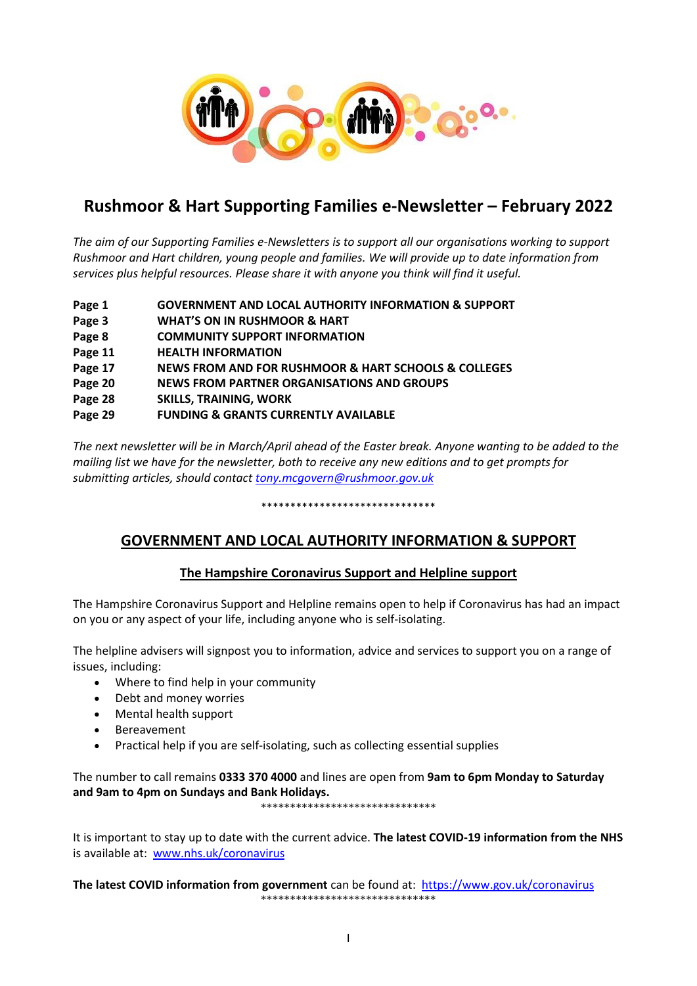

# **Rushmoor & Hart Supporting Families e-Newsletter – February 2022**

*The aim of our Supporting Families e-Newsletters is to support all our organisations working to support Rushmoor and Hart children, young people and families. We will provide up to date information from services plus helpful resources. Please share it with anyone you think will find it useful.*

- **Page 1 GOVERNMENT AND LOCAL AUTHORITY INFORMATION & SUPPORT**
- **Page 3 WHAT'S ON IN RUSHMOOR & HART**
- **Page 8 COMMUNITY SUPPORT INFORMATION**
- **Page 11 HEALTH INFORMATION**
- **Page 17 NEWS FROM AND FOR RUSHMOOR & HART SCHOOLS & COLLEGES**
- **Page 20 NEWS FROM PARTNER ORGANISATIONS AND GROUPS**
- **Page 28 SKILLS, TRAINING, WORK**
- **Page 29 FUNDING & GRANTS CURRENTLY AVAILABLE**

*The next newsletter will be in March/April ahead of the Easter break. Anyone wanting to be added to the mailing list we have for the newsletter, both to receive any new editions and to get prompts for submitting articles, should contact [tony.mcgovern@rushmoor.gov.uk](mailto:tony.mcgovern@rushmoor.gov.uk)* 

#### \*\*\*\*\*\*\*\*\*\*\*\*\*\*\*\*\*\*\*\*\*\*\*\*\*\*\*\*\*\*

## **GOVERNMENT AND LOCAL AUTHORITY INFORMATION & SUPPORT**

### **The Hampshire Coronavirus Support and Helpline support**

The Hampshire Coronavirus Support and Helpline remains open to help if Coronavirus has had an impact on you or any aspect of your life, including anyone who is self-isolating.

The helpline advisers will signpost you to information, advice and services to support you on a range of issues, including:

- Where to find help in your community
- Debt and money worries
- Mental health support
- **Bereavement**
- Practical help if you are self-isolating, such as collecting essential supplies

The number to call remains **0333 370 4000** and lines are open from **9am to 6pm Monday to Saturday and 9am to 4pm on Sundays and Bank Holidays.** 

\*\*\*\*\*\*\*\*\*\*\*\*\*\*\*\*\*\*\*\*\*\*\*\*\*\*\*\*\*\*

It is important to stay up to date with the current advice. **The latest COVID-19 information from the NHS** is available at: [www.nhs.uk/coronavirus](http://www.nhs.uk/coronavirus)

**The latest COVID information from government** can be found at: <https://www.gov.uk/coronavirus> \*\*\*\*\*\*\*\*\*\*\*\*\*\*\*\*\*\*\*\*\*\*\*\*\*\*\*\*\*\*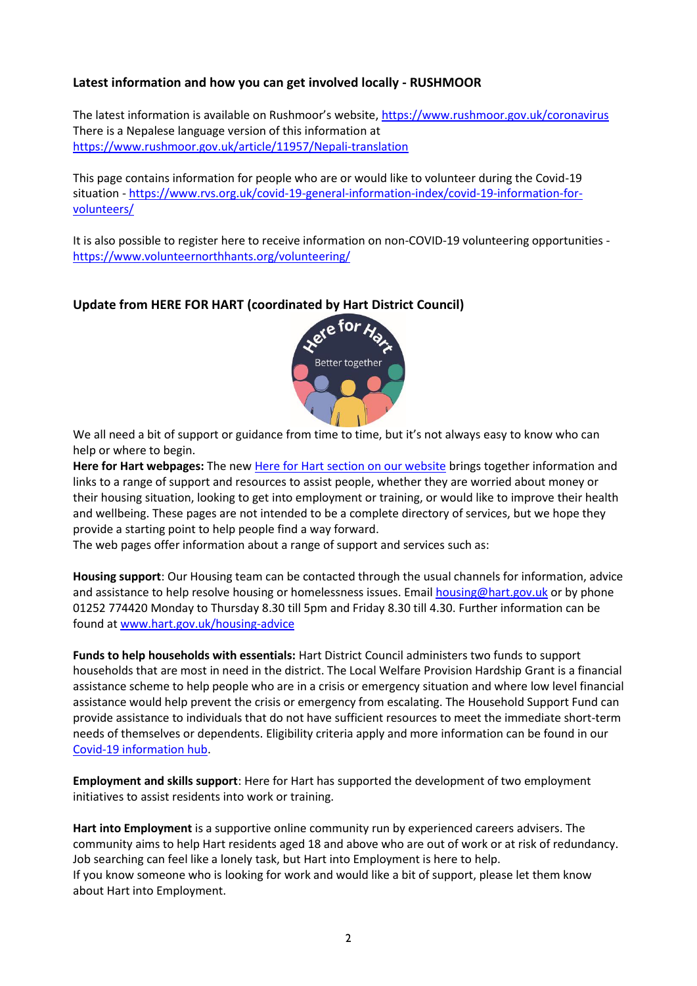### **Latest information and how you can get involved locally - RUSHMOOR**

The latest information is available on Rushmoor's website,<https://www.rushmoor.gov.uk/coronavirus> There is a Nepalese language version of this information at <https://www.rushmoor.gov.uk/article/11957/Nepali-translation>

This page contains information for people who are or would like to volunteer during the Covid-19 situation - [https://www.rvs.org.uk/covid-19-general-information-index/covid-19-information-for](https://www.rvs.org.uk/covid-19-general-information-index/covid-19-information-for-volunteers/)[volunteers/](https://www.rvs.org.uk/covid-19-general-information-index/covid-19-information-for-volunteers/)

It is also possible to register here to receive information on non-COVID-19 volunteering opportunities <https://www.volunteernorthhants.org/volunteering/>

### **Update from HERE FOR HART (coordinated by Hart District Council)**

![](_page_1_Picture_5.jpeg)

We all need a bit of support or guidance from time to time, but it's not always easy to know who can help or where to begin.

**Here for Hart webpages:** The new Here for Hart [section on our website](http://www.hart.gov.uk/hereforhart) brings together information and links to a range of support and resources to assist people, whether they are worried about money or their housing situation, looking to get into employment or training, or would like to improve their health and wellbeing. These pages are not intended to be a complete directory of services, but we hope they provide a starting point to help people find a way forward.

The web pages offer information about a range of support and services such as:

**Housing support**: Our Housing team can be contacted through the usual channels for information, advice and assistance to help resolve housing or homelessness issues. Email [housing@hart.gov.uk](mailto:housing@hart.gov.uk) or by phone 01252 774420 Monday to Thursday 8.30 till 5pm and Friday 8.30 till 4.30. Further information can be found at [www.hart.gov.uk/housing-advice](http://www.hart.gov.uk/housing-advice)

**Funds to help households with essentials:** Hart District Council administers two funds to support households that are most in need in the district. The Local Welfare Provision Hardship Grant is a financial assistance scheme to help people who are in a crisis or emergency situation and where low level financial assistance would help prevent the crisis or emergency from escalating. The Household Support Fund can provide assistance to individuals that do not have sufficient resources to meet the immediate short-term needs of themselves or dependents. Eligibility criteria apply and more information can be found in our [Covid-19 information hub.](https://www.hart.gov.uk/covid-19)

**Employment and skills support**: Here for Hart has supported the development of two employment initiatives to assist residents into work or training.

**Hart into Employment** is a supportive online community run by experienced careers advisers. The community aims to help Hart residents aged 18 and above who are out of work or at risk of redundancy. Job searching can feel like a lonely task, but Hart into Employment is here to help. If you know someone who is looking for work and would like a bit of support, please let them know about Hart into Employment.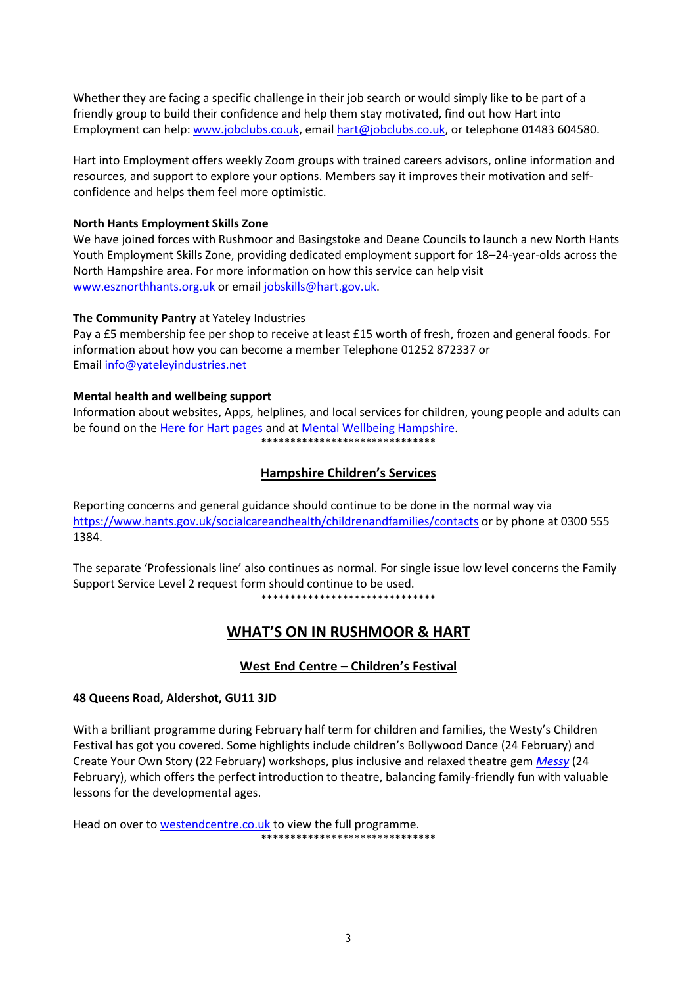Whether they are facing a specific challenge in their job search or would simply like to be part of a friendly group to build their confidence and help them stay motivated, find out how Hart into Employment can help: [www.jobclubs.co.uk,](https://eur02.safelinks.protection.outlook.com/?url=http%3A%2F%2Fwww.jobclubs.co.uk%2F&data=04%7C01%7Cliz.glenn%40hart.gov.uk%7C35a325b0fd1d45b8538508d9b027843b%7C437487d01c5f47b6bd4ea482ae3b011e%7C0%7C0%7C637734506024168144%7CUnknown%7CTWFpbGZsb3d8eyJWIjoiMC4wLjAwMDAiLCJQIjoiV2luMzIiLCJBTiI6Ik1haWwiLCJXVCI6Mn0%3D%7C3000&sdata=FwvnFJH4CkzqShZFH1u0MYenlmbJ6OUbF7BJHHp0QPw%3D&reserved=0) email [hart@jobclubs.co.uk,](mailto:hart@jobclubs.co.uk) or telephone 01483 604580.

Hart into Employment offers weekly Zoom groups with trained careers advisors, online information and resources, and support to explore your options. Members say it improves their motivation and selfconfidence and helps them feel more optimistic.

#### **North Hants Employment Skills Zone**

We have joined forces with Rushmoor and Basingstoke and Deane Councils to launch a new North Hants Youth Employment Skills Zone, providing dedicated employment support for 18–24-year-olds across the North Hampshire area. For more information on how this service can help visit [www.esznorthhants.org.uk](https://eur02.safelinks.protection.outlook.com/?url=http%3A%2F%2Fwww.esznorthhants.org.uk%2F&data=04%7C01%7CHelen.Charles%40Hart.gov.uk%7C63807447b8484aea76b308d9e00491cd%7C437487d01c5f47b6bd4ea482ae3b011e%7C0%7C0%7C637787132486177647%7CUnknown%7CTWFpbGZsb3d8eyJWIjoiMC4wLjAwMDAiLCJQIjoiV2luMzIiLCJBTiI6Ik1haWwiLCJXVCI6Mn0%3D%7C3000&sdata=KG9VAXnW4YyZzw4dm15ITBfWbh5EQr0VpHnKDToHhfo%3D&reserved=0) or email [jobskills@hart.gov.uk.](mailto:jobskills@hart.gov.uk)

#### **The Community Pantry** at Yateley Industries

Pay a £5 membership fee per shop to receive at least £15 worth of fresh, frozen and general foods. For information about how you can become a member Telephone 01252 872337 or Email [info@yateleyindustries.net](mailto:info@yateleyindustries.net)

#### **Mental health and wellbeing support**

Information about websites, Apps, helplines, and local services for children, young people and adults can be found on th[e Here for Hart pages](http://www.hart.gov.uk/hereforhart) and a[t Mental Wellbeing Hampshire.](https://www.hants.gov.uk/socialcareandhealth/publichealth/mentalwellbeinghampshire/moneyanddebt) \_<br>\*\*\*\*\*\*\*\*\*\*\*\*\*\*\*\*\*\*\*\*\*\*\*\*\*\*\*\*\*\*\*\*

### **Hampshire Children's Services**

Reporting concerns and general guidance should continue to be done in the normal way via <https://www.hants.gov.uk/socialcareandhealth/childrenandfamilies/contacts> or by phone at 0300 555 1384.

The separate 'Professionals line' also continues as normal. For single issue low level concerns the Family Support Service Level 2 request form should continue to be used.

\*\*\*\*\*\*\*\*\*\*\*\*\*\*\*\*\*\*\*\*\*\*\*\*\*\*\*\*\*\*

## **WHAT'S ON IN RUSHMOOR & HART**

### **West End Centre – Children's Festival**

#### **48 Queens Road, Aldershot, GU11 3JD**

With a brilliant programme during February half term for children and families, the Westy's Children Festival has got you covered. Some highlights include children's Bollywood Dance (24 February) and Create Your Own Story (22 February) workshops, plus inclusive and relaxed theatre gem *[Messy](https://www.westendcentre.co.uk/event/messy)* (24 February), which offers the perfect introduction to theatre, balancing family-friendly fun with valuable lessons for the developmental ages.

Head on over to **westendcentre.co.uk** to view the full programme. \*\*\*\*\*\*\*\*\*\*\*\*\*\*\*\*\*\*\*\*\*\*\*\*\*\*\*\*\*\*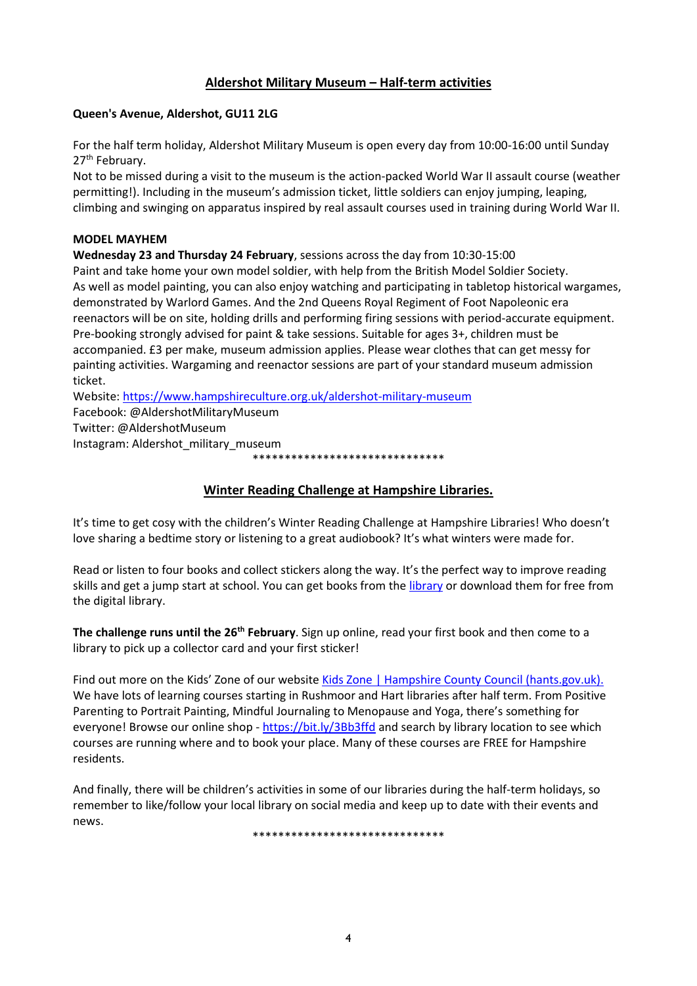### **Aldershot Military Museum – Half-term activities**

#### **Queen's Avenue, Aldershot, GU11 2LG**

For the half term holiday, Aldershot Military Museum is open every day from 10:00-16:00 until Sunday 27<sup>th</sup> February.

Not to be missed during a visit to the museum is the action-packed World War II assault course (weather permitting!). Including in the museum's admission ticket, little soldiers can enjoy jumping, leaping, climbing and swinging on apparatus inspired by real assault courses used in training during World War II.

#### **MODEL MAYHEM**

**Wednesday 23 and Thursday 24 February**, sessions across the day from 10:30-15:00

Paint and take home your own model soldier, with help from the British Model Soldier Society. As well as model painting, you can also enjoy watching and participating in tabletop historical wargames, demonstrated by Warlord Games. And the 2nd Queens Royal Regiment of Foot Napoleonic era reenactors will be on site, holding drills and performing firing sessions with period-accurate equipment. Pre-booking strongly advised for paint & take sessions. Suitable for ages 3+, children must be accompanied. £3 per make, museum admission applies. Please wear clothes that can get messy for painting activities. Wargaming and reenactor sessions are part of your standard museum admission ticket.

Website:<https://www.hampshireculture.org.uk/aldershot-military-museum>

Facebook: @AldershotMilitaryMuseum

Twitter: @AldershotMuseum

Instagram: Aldershot\_military\_museum

\*\*\*\*\*\*\*\*\*\*\*\*\*\*\*\*\*\*\*\*\*\*\*\*\*\*\*\*\*\*

### **Winter Reading Challenge at Hampshire Libraries.**

It's time to get cosy with the children's Winter Reading Challenge at Hampshire Libraries! Who doesn't love sharing a bedtime story or listening to a great audiobook? It's what winters were made for.

Read or listen to four books and collect stickers along the way. It's the perfect way to improve reading skills and get a jump start at school. You can get books from the *library* or download them for free from the digital library.

**The challenge runs until the 26th February**. Sign up online, read your first book and then come to a library to pick up a collector card and your first sticker!

Find out more on the Kids' Zone of our website [Kids Zone | Hampshire County Council \(hants.gov.uk\).](https://www.hants.gov.uk/librariesandarchives/kids-zone) We have lots of learning courses starting in Rushmoor and Hart libraries after half term. From Positive Parenting to Portrait Painting, Mindful Journaling to Menopause and Yoga, there's something for everyone! Browse our online shop - <https://bit.ly/3Bb3ffd> and search by library location to see which courses are running where and to book your place. Many of these courses are FREE for Hampshire residents.

And finally, there will be children's activities in some of our libraries during the half-term holidays, so remember to like/follow your local library on social media and keep up to date with their events and news.

\*\*\*\*\*\*\*\*\*\*\*\*\*\*\*\*\*\*\*\*\*\*\*\*\*\*\*\*\*\*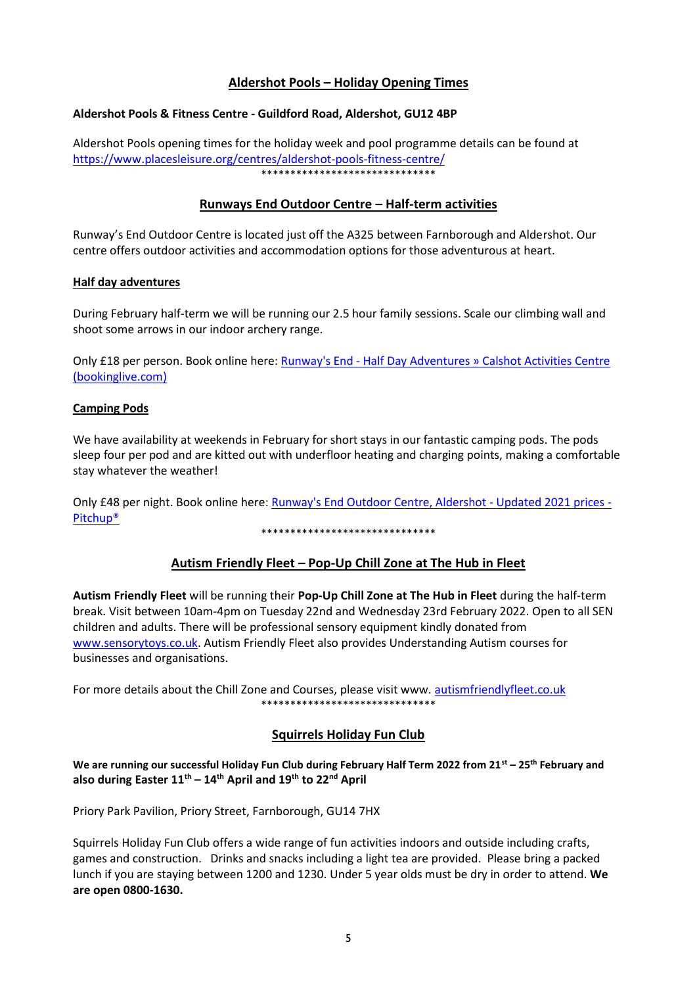### **Aldershot Pools – Holiday Opening Times**

#### **Aldershot Pools & Fitness Centre - Guildford Road, Aldershot, GU12 4BP**

Aldershot Pools opening times for the holiday week and pool programme details can be found at <https://www.placesleisure.org/centres/aldershot-pools-fitness-centre/> \*\*\*\*\*\*\*\*\*\*\*\*\*\*\*\*\*\*\*\*\*\*\*\*\*\*\*\*\*\*

### **Runways End Outdoor Centre – Half-term activities**

Runway's End Outdoor Centre is located just off the A325 between Farnborough and Aldershot. Our centre offers outdoor activities and accommodation options for those adventurous at heart.

#### **Half day adventures**

During February half-term we will be running our 2.5 hour family sessions. Scale our climbing wall and shoot some arrows in our indoor archery range.

Only £18 per person. Book online here: Runway's End - [Half Day Adventures » Calshot Activities Centre](https://calshot.bookinglive.com/runways-end-half-day-adventures?stage=Stage&fbclid=IwAR2NaIHBUmcbabJrnXXHC7UswNQ9yNB9J-YywH1OTUD3MYWis0pBhuveKh4)  [\(bookinglive.com\)](https://calshot.bookinglive.com/runways-end-half-day-adventures?stage=Stage&fbclid=IwAR2NaIHBUmcbabJrnXXHC7UswNQ9yNB9J-YywH1OTUD3MYWis0pBhuveKh4)

#### **Camping Pods**

We have availability at weekends in February for short stays in our fantastic camping pods. The pods sleep four per pod and are kitted out with underfloor heating and charging points, making a comfortable stay whatever the weather!

Only £48 per night. Book online here: [Runway's End Outdoor Centre, Aldershot -](https://www.pitchup.com/campsites/England/South_East/Hampshire/aldershot/runways_end_outdoor_centre/) Updated 2021 prices - [Pitchup®](https://www.pitchup.com/campsites/England/South_East/Hampshire/aldershot/runways_end_outdoor_centre/)

\*\*\*\*\*\*\*\*\*\*\*\*\*\*\*\*\*\*\*\*\*\*\*\*\*\*\*\*\*\*

### **Autism Friendly Fleet – Pop-Up Chill Zone at The Hub in Fleet**

**Autism Friendly Fleet** will be running their **Pop-Up Chill Zone at The Hub in Fleet** during the half-term break. Visit between 10am-4pm on Tuesday 22nd and Wednesday 23rd February 2022. Open to all SEN children and adults. There will be professional sensory equipment kindly donated from [www.sensorytoys.co.uk.](http://www.sensorytoys.co.uk/) Autism Friendly Fleet also provides Understanding Autism courses for businesses and organisations.

For more details about the Chill Zone and Courses, please visit www. [autismfriendlyfleet.co.uk](http://autismfriendlyfleet.co.uk/) \*\*\*\*\*\*\*\*\*\*\*\*\*\*\*\*\*\*\*\*\*\*\*\*\*\*\*\*\*\*

### **Squirrels Holiday Fun Club**

**We are running our successful Holiday Fun Club during February Half Term 2022 from 21st – 25th February and also during Easter 11th – 14th April and 19th to 22nd April**

Priory Park Pavilion, Priory Street, Farnborough, GU14 7HX

Squirrels Holiday Fun Club offers a wide range of fun activities indoors and outside including crafts, games and construction. Drinks and snacks including a light tea are provided. Please bring a packed lunch if you are staying between 1200 and 1230. Under 5 year olds must be dry in order to attend. **We are open 0800-1630.**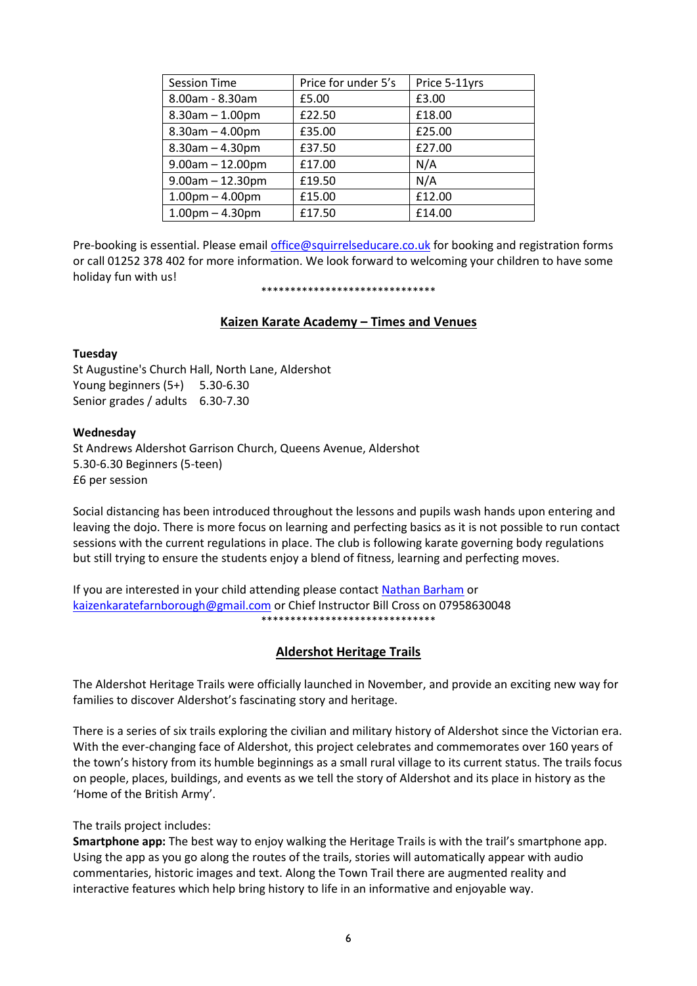| <b>Session Time</b>   | Price for under 5's | Price 5-11yrs |
|-----------------------|---------------------|---------------|
| 8.00am - 8.30am       | £5.00               | £3.00         |
| $8.30$ am $- 1.00$ pm | £22.50              | £18.00        |
| $8.30$ am $- 4.00$ pm | £35.00              | £25.00        |
| $8.30$ am $- 4.30$ pm | £37.50              | £27.00        |
| $9.00am - 12.00pm$    | £17.00              | N/A           |
| $9.00am - 12.30pm$    | £19.50              | N/A           |
| $1.00pm - 4.00pm$     | £15.00              | £12.00        |
| $1.00$ pm $- 4.30$ pm | £17.50              | £14.00        |

Pre-booking is essential. Please email [office@squirrelseducare.co.uk](mailto:office@squirrelseducare.co.uk) for booking and registration forms or call 01252 378 402 for more information. We look forward to welcoming your children to have some holiday fun with us!

#### \*\*\*\*\*\*\*\*\*\*\*\*\*\*\*\*\*\*\*\*\*\*\*\*\*\*\*\*\*\*

#### **Kaizen Karate Academy – Times and Venues**

#### **Tuesday**

St Augustine's Church Hall, North Lane, Aldershot Young beginners (5+) 5.30-6.30 Senior grades / adults 6.30-7.30

#### **Wednesday**

St Andrews Aldershot Garrison Church, Queens Avenue, Aldershot 5.30-6.30 Beginners (5-teen) £6 per session

Social distancing has been introduced throughout the lessons and pupils wash hands upon entering and leaving the dojo. There is more focus on learning and perfecting basics as it is not possible to run contact sessions with the current regulations in place. The club is following karate governing body regulations but still trying to ensure the students enjoy a blend of fitness, learning and perfecting moves.

If you are interested in your child attending please contact [Nathan Barham](https://www.facebook.com/groups/141697899265397/user/630420322/?__cft__%5b0%5d=AZVvgmsnhNFM084ngfmoKc5l6_1c35QcjgOg5Xsp1hQLuPNIPuJI8A88ABRncZZQM-w4zPx3rEfvAOnZccf6EP5v6RtXWatYL3Bye8C9r57G1Lju7aP-xs5lzkQRa0LCRyk&__tn__=-%5dK-R) or [kaizenkaratefarnborough@gmail.com](mailto:kaizenkaratefarnborough@gmail.com) or Chief Instructor Bill Cross on 07958630048 \*\*\*\*\*\*\*\*\*\*\*\*\*\*\*\*\*\*\*\*\*\*\*\*\*\*\*\*\*\*

### **Aldershot Heritage Trails**

The Aldershot Heritage Trails were officially launched in November, and provide an exciting new way for families to discover Aldershot's fascinating story and heritage.

There is a series of six trails exploring the civilian and military history of Aldershot since the Victorian era. With the ever-changing face of Aldershot, this project celebrates and commemorates over 160 years of the town's history from its humble beginnings as a small rural village to its current status. The trails focus on people, places, buildings, and events as we tell the story of Aldershot and its place in history as the 'Home of the British Army'.

#### The trails project includes:

**Smartphone app:** The best way to enjoy walking the Heritage Trails is with the trail's smartphone app. Using the app as you go along the routes of the trails, stories will automatically appear with audio commentaries, historic images and text. Along the Town Trail there are augmented reality and interactive features which help bring history to life in an informative and enjoyable way.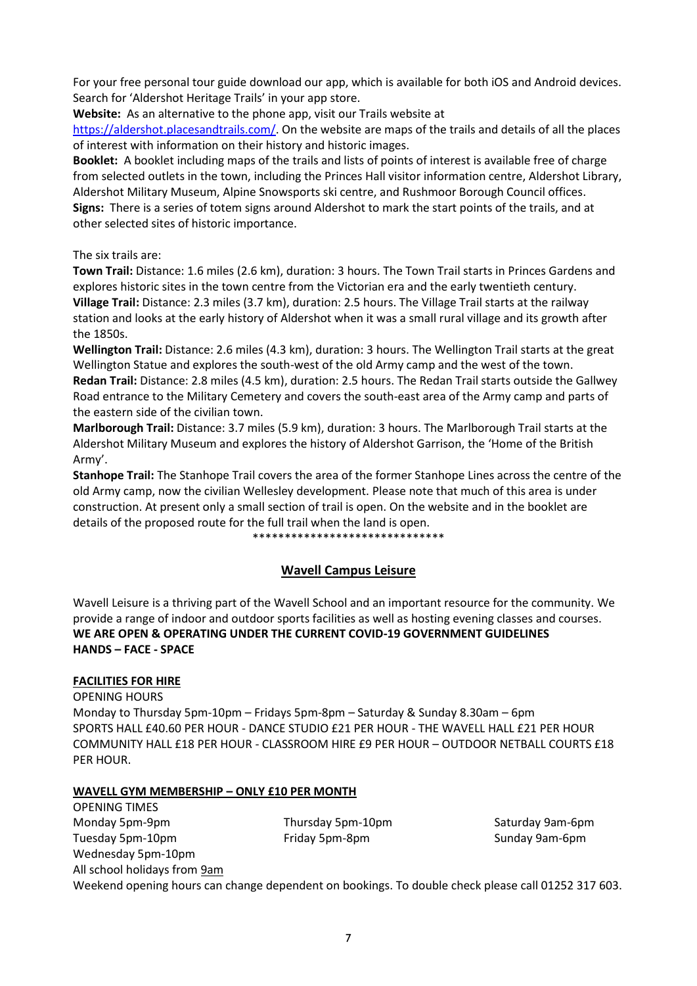For your free personal tour guide download our app, which is available for both iOS and Android devices. Search for 'Aldershot Heritage Trails' in your app store.

**Website:** As an alternative to the phone app, visit our Trails website at

[https://aldershot.placesandtrails.com/.](https://aldershot.placesandtrails.com/) On the website are maps of the trails and details of all the places of interest with information on their history and historic images.

**Booklet:** A booklet including maps of the trails and lists of points of interest is available free of charge from selected outlets in the town, including the Princes Hall visitor information centre, Aldershot Library, Aldershot Military Museum, Alpine Snowsports ski centre, and Rushmoor Borough Council offices. **Signs:** There is a series of totem signs around Aldershot to mark the start points of the trails, and at other selected sites of historic importance.

The six trails are:

**Town Trail:** Distance: 1.6 miles (2.6 km), duration: 3 hours. The Town Trail starts in Princes Gardens and explores historic sites in the town centre from the Victorian era and the early twentieth century. **Village Trail:** Distance: 2.3 miles (3.7 km), duration: 2.5 hours. The Village Trail starts at the railway station and looks at the early history of Aldershot when it was a small rural village and its growth after the 1850s.

**Wellington Trail:** Distance: 2.6 miles (4.3 km), duration: 3 hours. The Wellington Trail starts at the great Wellington Statue and explores the south-west of the old Army camp and the west of the town. **Redan Trail:** Distance: 2.8 miles (4.5 km), duration: 2.5 hours. The Redan Trail starts outside the Gallwey Road entrance to the Military Cemetery and covers the south-east area of the Army camp and parts of the eastern side of the civilian town.

**Marlborough Trail:** Distance: 3.7 miles (5.9 km), duration: 3 hours. The Marlborough Trail starts at the Aldershot Military Museum and explores the history of Aldershot Garrison, the 'Home of the British Army'.

**Stanhope Trail:** The Stanhope Trail covers the area of the former Stanhope Lines across the centre of the old Army camp, now the civilian Wellesley development. Please note that much of this area is under construction. At present only a small section of trail is open. On the website and in the booklet are details of the proposed route for the full trail when the land is open.

\*\*\*\*\*\*\*\*\*\*\*\*\*\*\*\*\*\*\*\*\*\*\*\*\*\*\*\*\*\*

### **Wavell Campus Leisure**

Wavell Leisure is a thriving part of the Wavell School and an important resource for the community. We provide a range of indoor and outdoor sports facilities as well as hosting evening classes and courses. **WE ARE OPEN & OPERATING UNDER THE CURRENT COVID-19 GOVERNMENT GUIDELINES HANDS – FACE - SPACE**

### **FACILITIES FOR HIRE**

OPENING HOURS

Monday to Thursday 5pm-10pm – Fridays 5pm-8pm – Saturday & Sunday 8.30am – 6pm SPORTS HALL £40.60 PER HOUR - DANCE STUDIO £21 PER HOUR - THE WAVELL HALL £21 PER HOUR COMMUNITY HALL £18 PER HOUR - CLASSROOM HIRE £9 PER HOUR – OUTDOOR NETBALL COURTS £18 PER HOUR.

### **WAVELL GYM MEMBERSHIP – ONLY £10 PER MONTH**

OPENING TIMES Monday 5pm-9pm Thursday 5pm-10pm Saturday 9am-6pm Tuesday 5pm-10pm **Friday 5pm-8pm** Friday 5pm-8pm Sunday 9am-6pm Wednesday 5pm-10pm All school holidays from 9am Weekend opening hours can change dependent on bookings. To double check please call 01252 317 603.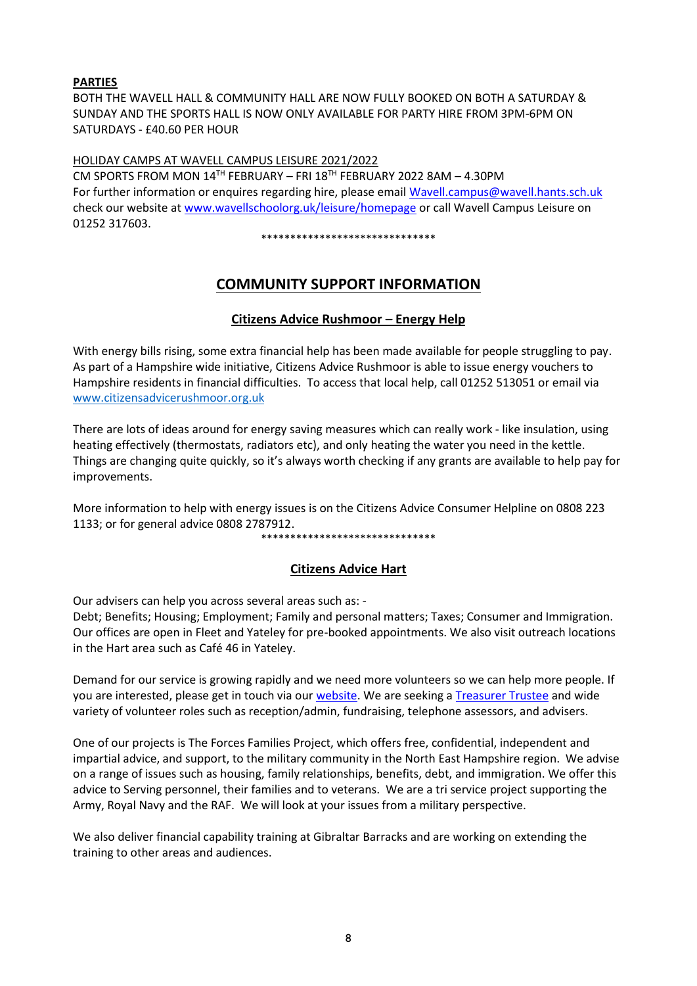### **PARTIES**

BOTH THE WAVELL HALL & COMMUNITY HALL ARE NOW FULLY BOOKED ON BOTH A SATURDAY & SUNDAY AND THE SPORTS HALL IS NOW ONLY AVAILABLE FOR PARTY HIRE FROM 3PM-6PM ON SATURDAYS - £40.60 PER HOUR

#### HOLIDAY CAMPS AT WAVELL CAMPUS LEISURE 2021/2022

CM SPORTS FROM MON 14TH FEBRUARY – FRI 18TH FEBRUARY 2022 8AM – 4.30PM For further information or enquires regarding hire, please emai[l Wavell.campus@wavell.hants.sch.uk](mailto:Wavell.campus@wavell.hants.sch.uk) check our website at [www.wavellschoolorg.uk/leisure/homepage](http://www.wavellschoolorg.uk/leisure/homepage) or call Wavell Campus Leisure on 01252 317603.

\*\*\*\*\*\*\*\*\*\*\*\*\*\*\*\*\*\*\*\*\*\*\*\*\*\*\*\*\*\*

## **COMMUNITY SUPPORT INFORMATION**

### **Citizens Advice Rushmoor – Energy Help**

With energy bills rising, some extra financial help has been made available for people struggling to pay. As part of a Hampshire wide initiative, Citizens Advice Rushmoor is able to issue energy vouchers to Hampshire residents in financial difficulties. To access that local help, call 01252 513051 or email via [www.citizensadvicerushmoor.org.uk](http://www.citizensadvicerushmoor.org.uk/)

There are lots of ideas around for energy saving measures which can really work - like insulation, using heating effectively (thermostats, radiators etc), and only heating the water you need in the kettle. Things are changing quite quickly, so it's always worth checking if any grants are available to help pay for improvements.

More information to help with energy issues is on the Citizens Advice Consumer Helpline on 0808 223 1133; or for general advice 0808 2787912.

\*\*\*\*\*\*\*\*\*\*\*\*\*\*\*\*\*\*\*\*\*\*\*\*\*\*\*\*\*\*

### **Citizens Advice Hart**

Our advisers can help you across several areas such as: -

Debt; Benefits; Housing; Employment; Family and personal matters; Taxes; Consumer and Immigration. Our offices are open in Fleet and Yateley for pre-booked appointments. We also visit outreach locations in the Hart area such as Café 46 in Yateley.

Demand for our service is growing rapidly and we need more volunteers so we can help more people. If you are interested, please get in touch via our [website.](https://citizensadvicehart.org.uk/get-involved/volunteering/) We are seeking a [Treasurer Trustee](https://citizensadvicehart.org.uk/treasurer-trustee-role/) and wide variety of volunteer roles such as reception/admin, fundraising, telephone assessors, and advisers.

One of our projects is The Forces Families Project, which offers free, confidential, independent and impartial advice, and support, to the military community in the North East Hampshire region. We advise on a range of issues such as housing, family relationships, benefits, debt, and immigration. We offer this advice to Serving personnel, their families and to veterans. We are a tri service project supporting the Army, Royal Navy and the RAF. We will look at your issues from a military perspective.

We also deliver financial capability training at Gibraltar Barracks and are working on extending the training to other areas and audiences.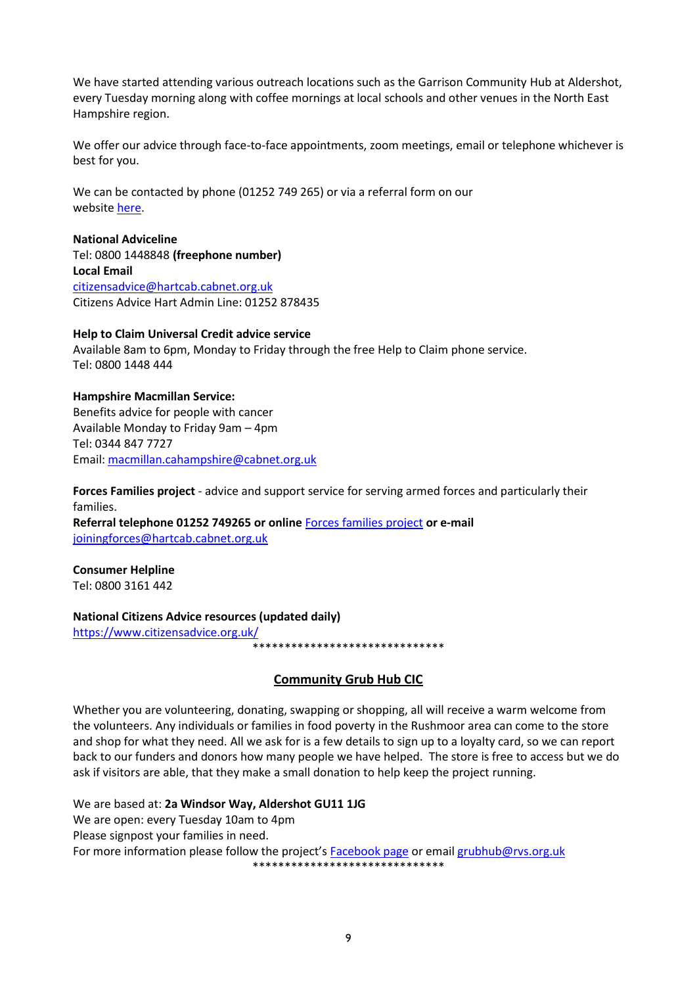We have started attending various outreach locations such as the Garrison Community Hub at Aldershot, every Tuesday morning along with coffee mornings at local schools and other venues in the North East Hampshire region.

We offer our advice through face-to-face appointments, zoom meetings, email or telephone whichever is best for you.

We can be contacted by phone (01252 749 265) or via a referral form on our website [here.](https://citizensadvicehart.org.uk/projects/the-forces-families-project/)

#### **National Adviceline**

Tel: 0800 1448848 **(freephone number) Local Email** [citizensadvice@hartcab.cabnet.org.uk](mailto:citizensadvice@hartcab.cabnet.org.uk) Citizens Advice Hart Admin Line: 01252 878435

#### **Help to Claim Universal Credit advice service**

Available 8am to 6pm, Monday to Friday through the free Help to Claim phone service. Tel: 0800 1448 444

**Hampshire Macmillan Service:** Benefits advice for people with cancer Available Monday to Friday 9am – 4pm Tel: 0344 847 7727 Email: [macmillan.cahampshire@cabnet.org.uk](mailto:macmillan.cahampshire@cabnet.org.uk)

**Forces Families project** - advice and support service for serving armed forces and particularly their families. **Referral telephone 01252 749265 or online** [Forces families project](https://citizensadvicehart.org.uk/projects/the-forces-families-project/) **or e-mail**  [joiningforces@hartcab.cabnet.org.uk](mailto:joiningforces@hartcab.cabnet.org.uk)

**Consumer Helpline** Tel: 0800 3161 442

#### **National Citizens Advice resources (updated daily)**

<https://www.citizensadvice.org.uk/>

\_\_<br>\*\*\*\*\*\*\*\*\*\*\*\*\*\*\*\*\*\*\*\*\*\*\*\*\*\*\*\*\*\*\*

### **Community Grub Hub CIC**

Whether you are volunteering, donating, swapping or shopping, all will receive a warm welcome from the volunteers. Any individuals or families in food poverty in the Rushmoor area can come to the store and shop for what they need. All we ask for is a few details to sign up to a loyalty card, so we can report back to our funders and donors how many people we have helped. The store is free to access but we do ask if visitors are able, that they make a small donation to help keep the project running.

We are based at: **2a Windsor Way, Aldershot GU11 1JG** We are open: every Tuesday 10am to 4pm Please signpost your families in need. For more information please follow the project's [Facebook page](https://www.facebook.com/CommunityGrubHub) or emai[l grubhub@rvs.org.uk](mailto:grubhub@rvs.org.uk)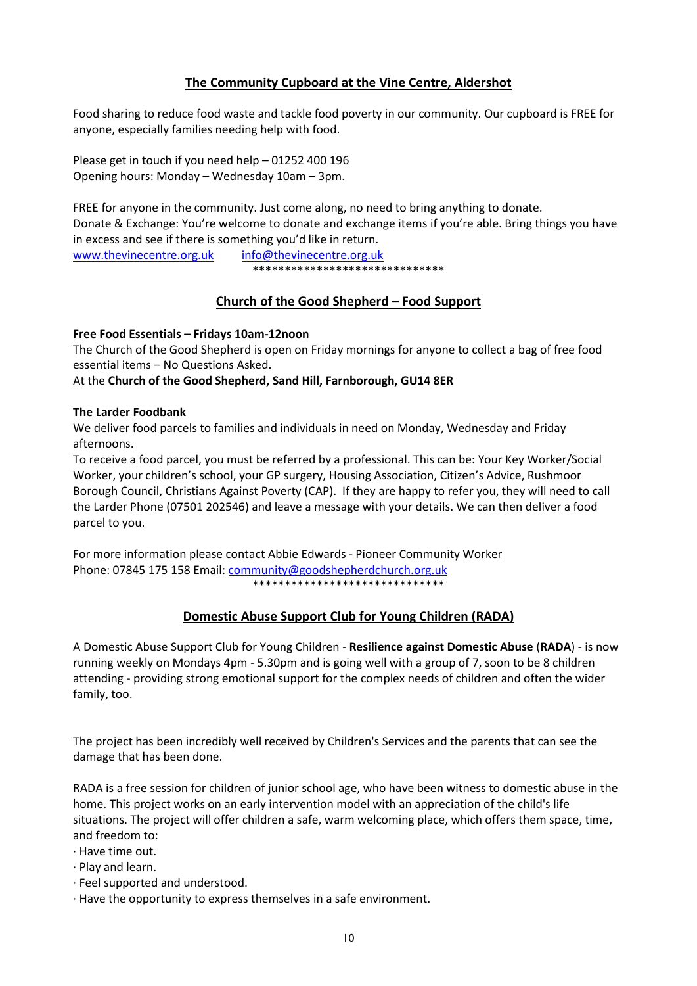### **The Community Cupboard at the Vine Centre, Aldershot**

Food sharing to reduce food waste and tackle food poverty in our community. Our cupboard is FREE for anyone, especially families needing help with food.

Please get in touch if you need help – 01252 400 196 Opening hours: Monday – Wednesday 10am – 3pm.

FREE for anyone in the community. Just come along, no need to bring anything to donate. Donate & Exchange: You're welcome to donate and exchange items if you're able. Bring things you have in excess and see if there is something you'd like in return.

[www.thevinecentre.org.uk](http://www.thevinecentre.org.uk/) [info@thevinecentre.org.uk](mailto:info@thevinecentre.org.uk) \*\*\*\*\*\*\*\*\*\*\*\*\*\*\*\*\*\*\*\*\*\*\*\*\*\*\*\*\*\*

### **Church of the Good Shepherd – Food Support**

### **Free Food Essentials – Fridays 10am-12noon**

The Church of the Good Shepherd is open on Friday mornings for anyone to collect a bag of free food essential items – No Questions Asked.

#### At the **Church of the Good Shepherd, Sand Hill, Farnborough, GU14 8ER**

#### **The Larder Foodbank**

We deliver food parcels to families and individuals in need on Monday, Wednesday and Friday afternoons.

To receive a food parcel, you must be referred by a professional. This can be: Your Key Worker/Social Worker, your children's school, your GP surgery, Housing Association, Citizen's Advice, Rushmoor Borough Council, Christians Against Poverty (CAP). If they are happy to refer you, they will need to call the Larder Phone (07501 202546) and leave a message with your details. We can then deliver a food parcel to you.

For more information please contact Abbie Edwards - Pioneer Community Worker Phone: 07845 175 158 Email: [community@goodshepherdchurch.org.uk](mailto:community@goodshepherdchurch.org.uk) \*\*\*\*\*\*\*\*\*\*\*\*\*\*\*\*\*\*\*\*\*\*\*\*\*\*\*\*\*\*

### **Domestic Abuse Support Club for Young Children (RADA)**

A Domestic Abuse Support Club for Young Children - **Resilience against Domestic Abuse** (**RADA**) - is now running weekly on Mondays 4pm - 5.30pm and is going well with a group of 7, soon to be 8 children attending - providing strong emotional support for the complex needs of children and often the wider family, too.

The project has been incredibly well received by Children's Services and the parents that can see the damage that has been done.

RADA is a free session for children of junior school age, who have been witness to domestic abuse in the home. This project works on an early intervention model with an appreciation of the child's life situations. The project will offer children a safe, warm welcoming place, which offers them space, time, and freedom to:

- · Have time out.
- · Play and learn.
- · Feel supported and understood.
- · Have the opportunity to express themselves in a safe environment.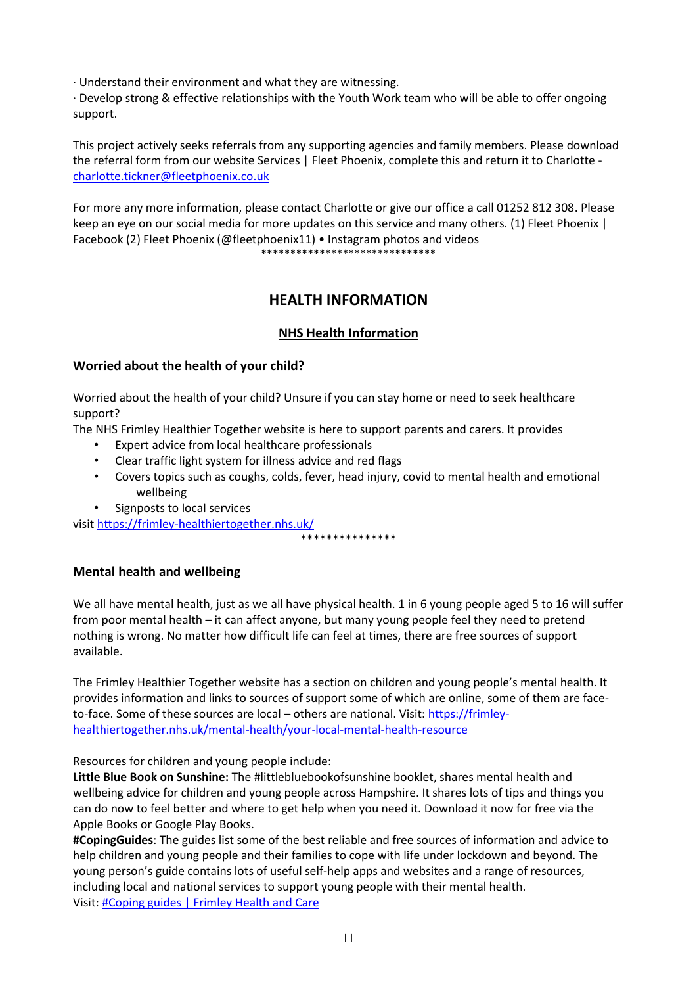· Understand their environment and what they are witnessing.

· Develop strong & effective relationships with the Youth Work team who will be able to offer ongoing support.

This project actively seeks referrals from any supporting agencies and family members. Please download the referral form from our website Services | Fleet Phoenix, complete this and return it to Charlotte [charlotte.tickner@fleetphoenix.co.uk](mailto:charlotte.tickner@fleetphoenix.co.uk)

For more any more information, please contact Charlotte or give our office a call 01252 812 308. Please keep an eye on our social media for more updates on this service and many others. (1) Fleet Phoenix | Facebook (2) Fleet Phoenix (@fleetphoenix11) • Instagram photos and videos

\*\*\*\*\*\*\*\*\*\*\*\*\*\*\*\*\*\*\*\*\*\*\*\*\*\*\*\*\*\*

## **HEALTH INFORMATION**

## **NHS Health Information**

### **Worried about the health of your child?**

Worried about the health of your child? Unsure if you can stay home or need to seek healthcare support?

The NHS Frimley Healthier Together website is here to support parents and carers. It provides

- Expert advice from local healthcare professionals
- Clear traffic light system for illness advice and red flags
- Covers topics such as coughs, colds, fever, head injury, covid to mental health and emotional wellbeing

\*\*\*\*\*\*\*\*\*\*\*\*\*\*\*

• Signposts to local services

visit<https://frimley-healthiertogether.nhs.uk/>

**Mental health and wellbeing**

We all have mental health, just as we all have physical health. 1 in 6 young people aged 5 to 16 will suffer from poor mental health – it can affect anyone, but many young people feel they need to pretend nothing is wrong. No matter how difficult life can feel at times, there are free sources of support available.

The Frimley Healthier Together website has a section on children and young people's mental health. It provides information and links to sources of support some of which are online, some of them are faceto-face. Some of these sources are local – others are national. Visit[: https://frimley](https://frimley-healthiertogether.nhs.uk/mental-health/your-local-mental-health-resource)[healthiertogether.nhs.uk/mental-health/your-local-mental-health-resource](https://frimley-healthiertogether.nhs.uk/mental-health/your-local-mental-health-resource)

Resources for children and young people include:

**Little Blue Book on Sunshine:** The #littlebluebookofsunshine booklet, shares mental health and wellbeing advice for children and young people across Hampshire. It shares lots of tips and things you can do now to feel better and where to get help when you need it. Download it now for free via the Apple Books or Google Play Books.

**#CopingGuides**: The guides list some of the best reliable and free sources of information and advice to help children and young people and their families to cope with life under lockdown and beyond. The young person's guide contains lots of useful self-help apps and websites and a range of resources, including local and national services to support young people with their mental health. Visit: [#Coping guides | Frimley Health and Care](https://www.frimleyhealthandcare.org.uk/coping%E2%80%AF)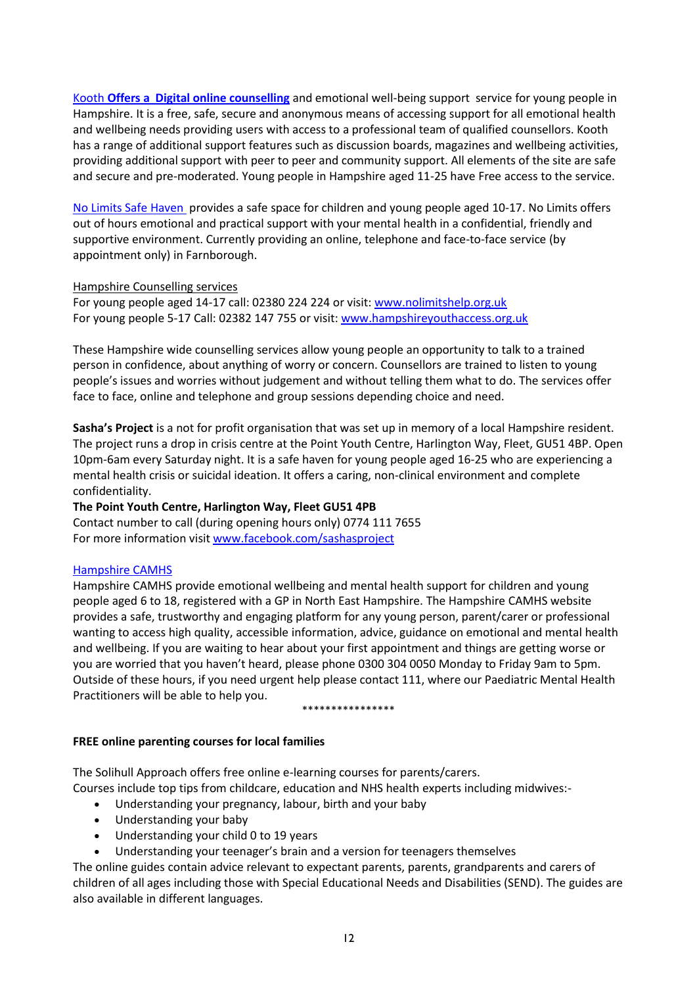[Kooth](https://www.kooth.com/) **Offers a [Digital online counselling](https://www.kooth.com/)** and emotional well-being support  service for young people in Hampshire. It is a free, safe, secure and anonymous means of accessing support for all emotional health and wellbeing needs providing users with access to a professional team of qualified counsellors. Kooth has a range of additional support features such as discussion boards, magazines and wellbeing activities, providing additional support with peer to peer and community support. All elements of the site are safe and secure and pre-moderated. Young people in Hampshire aged 11-25 have Free access to the service.

[No Limits Safe Haven](https://nolimitshelp.org.uk/get-help/health-wellbeing/safe-havens/) provides a safe space for children and young people aged 10-17. No Limits offers out of hours emotional and practical support with your mental health in a confidential, friendly and supportive environment. Currently providing an online, telephone and face-to-face service (by appointment only) in Farnborough.

#### Hampshire Counselling services

For young people aged 14-17 call: 02380 224 224 or visit: [www.nolimitshelp.org.uk](http://www.nolimitshelp.org.uk/) For young people 5-17 Call: 02382 147 755 or visit: [www.hampshireyouthaccess.org.uk](http://www.hampshireyouthaccess.org.uk/)

These Hampshire wide counselling services allow young people an opportunity to talk to a trained person in confidence, about anything of worry or concern. Counsellors are trained to listen to young people's issues and worries without judgement and without telling them what to do. The services offer face to face, online and telephone and group sessions depending choice and need.

**Sasha's Project** is a not for profit organisation that was set up in memory of a local Hampshire resident. The project runs a drop in crisis centre at the Point Youth Centre, Harlington Way, Fleet, GU51 4BP. Open 10pm-6am every Saturday night. It is a safe haven for young people aged 16-25 who are experiencing a mental health crisis or suicidal ideation. It offers a caring, non-clinical environment and complete confidentiality.

### **The Point Youth Centre, Harlington Way, Fleet GU51 4PB**

Contact number to call (during opening hours only) 0774 111 7655 For more information visit [www.facebook.com/sashasproject](http://www.facebook.com/sashasproject)

### [Hampshire CAMHS](https://hampshirecamhs.nhs.uk/%C2%A0)

Hampshire CAMHS provide emotional wellbeing and mental health support for children and young people aged 6 to 18, registered with a GP in North East Hampshire. The Hampshire CAMHS website provides a safe, trustworthy and engaging platform for any young person, parent/carer or professional wanting to access high quality, accessible information, advice, guidance on emotional and mental health and wellbeing. If you are waiting to hear about your first appointment and things are getting worse or you are worried that you haven't heard, please phone 0300 304 0050 Monday to Friday 9am to 5pm. Outside of these hours, if you need urgent help please contact 111, where our Paediatric Mental Health Practitioners will be able to help you.

#### \*\*\*\*\*\*\*\*\*\*\*\*\*\*\*\*

### **FREE online parenting courses for local families**

The Solihull Approach offers free online e-learning courses for parents/carers. Courses include top tips from childcare, education and NHS health experts including midwives:-

- Understanding your pregnancy, labour, birth and your baby
- Understanding your baby
- Understanding your child 0 to 19 years
- Understanding your teenager's brain and a version for teenagers themselves

The online guides contain advice relevant to expectant parents, parents, grandparents and carers of children of all ages including those with Special Educational Needs and Disabilities (SEND). The guides are also available in different languages.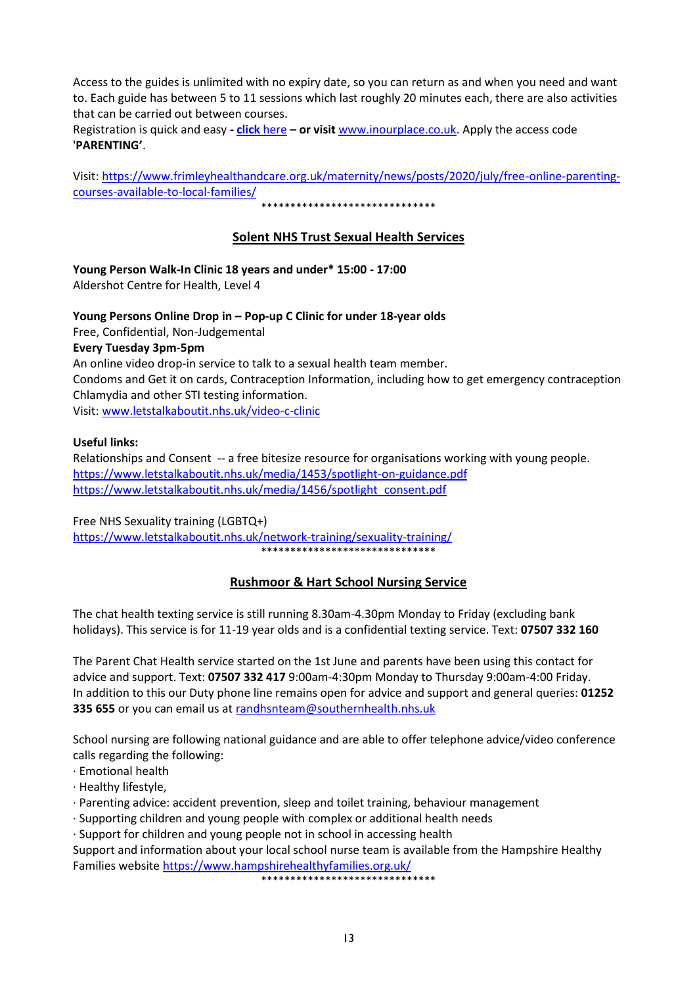Access to the guides is unlimited with no expiry date, so you can return as and when you need and want to. Each guide has between 5 to 11 sessions which last roughly 20 minutes each, there are also activities that can be carried out between courses.

Registration is quick and easy **- click** [here](https://inourplace.co.uk/) **– or visit** [www.inourplace.co.uk.](http://www.inourplace.co.uk/) Apply the access code '**PARENTING'**.

Visit: [https://www.frimleyhealthandcare.org.uk/maternity/news/posts/2020/july/free-online-parenting](https://www.frimleyhealthandcare.org.uk/maternity/news/posts/2020/july/free-online-parenting-courses-available-to-local-families/)[courses-available-to-local-families/](https://www.frimleyhealthandcare.org.uk/maternity/news/posts/2020/july/free-online-parenting-courses-available-to-local-families/)

\*\*\*\*\*\*\*\*\*\*\*\*\*\*\*\*\*\*\*\*\*\*\*\*\*\*\*\*\*\*

### **Solent NHS Trust Sexual Health Services**

**Young Person Walk-In Clinic 18 years and under\* 15:00 - 17:00** Aldershot Centre for Health, Level 4

#### **Young Persons Online Drop in – Pop-up C Clinic for under 18-year olds**

Free, Confidential, Non-Judgemental

#### **Every Tuesday 3pm-5pm**

An online video drop-in service to talk to a sexual health team member. Condoms and Get it on cards, Contraception Information, including how to get emergency contraception Chlamydia and other STI testing information. Visit: [www.letstalkaboutit.nhs.uk/video-c-clinic](http://www.letstalkaboutit.nhs.uk/video-c-clinic)

#### **Useful links:**

Relationships and Consent -- a free bitesize resource for organisations working with young people. <https://www.letstalkaboutit.nhs.uk/media/1453/spotlight-on-guidance.pdf> [https://www.letstalkaboutit.nhs.uk/media/1456/spotlight\\_consent.pdf](https://www.letstalkaboutit.nhs.uk/media/1456/spotlight_consent.pdf)

#### Free NHS Sexuality training (LGBTQ+)

<https://www.letstalkaboutit.nhs.uk/network-training/sexuality-training/> \*\*\*\*\*\*\*\*\*\*\*\*\*\*\*\*\*\*\*\*\*\*\*\*\*\*\*\*\*\*

### **Rushmoor & Hart School Nursing Service**

The chat health texting service is still running 8.30am-4.30pm Monday to Friday (excluding bank holidays). This service is for 11-19 year olds and is a confidential texting service. Text: **07507 332 160**

The Parent Chat Health service started on the 1st June and parents have been using this contact for advice and support. Text: **07507 332 417** 9:00am-4:30pm Monday to Thursday 9:00am-4:00 Friday. In addition to this our Duty phone line remains open for advice and support and general queries: **01252 335 655** or you can email us at [randhsnteam@southernhealth.nhs.uk](mailto:randhsnteam@southernhealth.nhs.uk)

School nursing are following national guidance and are able to offer telephone advice/video conference calls regarding the following:

· Emotional health

· Healthy lifestyle,

- · Parenting advice: accident prevention, sleep and toilet training, behaviour management
- · Supporting children and young people with complex or additional health needs
- · Support for children and young people not in school in accessing health

Support and information about your local school nurse team is available from the Hampshire Healthy Families website<https://www.hampshirehealthyfamilies.org.uk/>

\*\*\*\*\*\*\*\*\*\*\*\*\*\*\*\*\*\*\*\*\*\*\*\*\*\*\*\*\*\*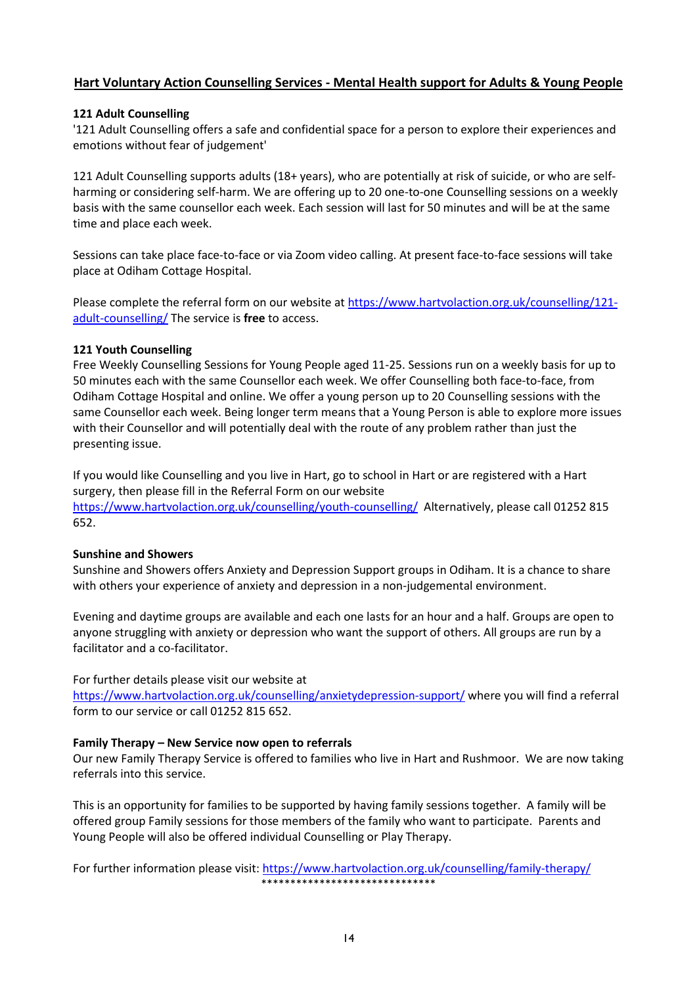### **Hart Voluntary Action Counselling Services - Mental Health support for Adults & Young People**

#### **121 Adult Counselling**

'121 Adult Counselling offers a safe and confidential space for a person to explore their experiences and emotions without fear of judgement'

121 Adult Counselling supports adults (18+ years), who are potentially at risk of suicide, or who are selfharming or considering self-harm. We are offering up to 20 one-to-one Counselling sessions on a weekly basis with the same counsellor each week. Each session will last for 50 minutes and will be at the same time and place each week.

Sessions can take place face-to-face or via Zoom video calling. At present face-to-face sessions will take place at Odiham Cottage Hospital.

Please complete the referral form on our website at [https://www.hartvolaction.org.uk/counselling/121](https://www.hartvolaction.org.uk/counselling/121-adult-counselling/) [adult-counselling/](https://www.hartvolaction.org.uk/counselling/121-adult-counselling/) The service is **free** to access.

#### **121 Youth Counselling**

Free Weekly Counselling Sessions for Young People aged 11-25. Sessions run on a weekly basis for up to 50 minutes each with the same Counsellor each week. We offer Counselling both face-to-face, from Odiham Cottage Hospital and online. We offer a young person up to 20 Counselling sessions with the same Counsellor each week. Being longer term means that a Young Person is able to explore more issues with their Counsellor and will potentially deal with the route of any problem rather than just the presenting issue.

If you would like Counselling and you live in Hart, go to school in Hart or are registered with a Hart surgery, then please fill in the Referral Form on our website

<https://www.hartvolaction.org.uk/counselling/youth-counselling/>Alternatively, please call 01252 815 652.

#### **Sunshine and Showers**

Sunshine and Showers offers Anxiety and Depression Support groups in Odiham. It is a chance to share with others your experience of anxiety and depression in a non-judgemental environment.

Evening and daytime groups are available and each one lasts for an hour and a half. Groups are open to anyone struggling with anxiety or depression who want the support of others. All groups are run by a facilitator and a co-facilitator.

For further details please visit our website at

<https://www.hartvolaction.org.uk/counselling/anxietydepression-support/> where you will find a referral form to our service or call 01252 815 652.

#### **Family Therapy – New Service now open to referrals**

Our new Family Therapy Service is offered to families who live in Hart and Rushmoor. We are now taking referrals into this service.

This is an opportunity for families to be supported by having family sessions together. A family will be offered group Family sessions for those members of the family who want to participate. Parents and Young People will also be offered individual Counselling or Play Therapy.

For further information please visit:<https://www.hartvolaction.org.uk/counselling/family-therapy/> \*\*\*\*\*\*\*\*\*\*\*\*\*\*\*\*\*\*\*\*\*\*\*\*\*\*\*\*\*\*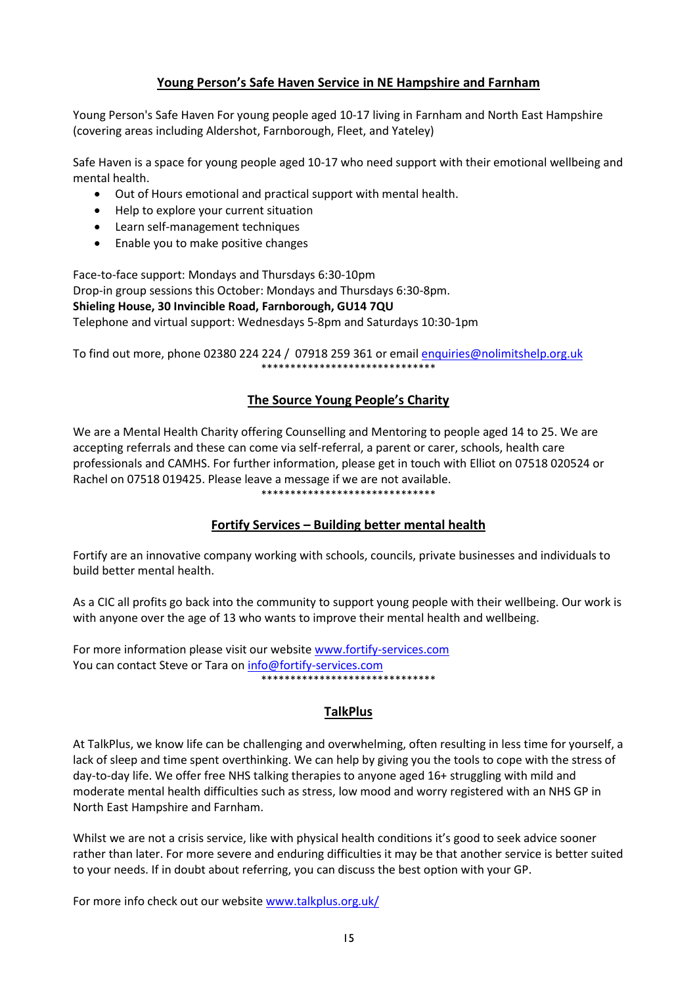## **Young Person's Safe Haven Service in NE Hampshire and Farnham**

Young Person's Safe Haven For young people aged 10-17 living in Farnham and North East Hampshire (covering areas including Aldershot, Farnborough, Fleet, and Yateley)

Safe Haven is a space for young people aged 10-17 who need support with their emotional wellbeing and mental health.

- Out of Hours emotional and practical support with mental health.
- Help to explore your current situation
- Learn self-management techniques
- Enable you to make positive changes

Face-to-face support: Mondays and Thursdays 6:30-10pm Drop-in group sessions this October: Mondays and Thursdays 6:30-8pm. **Shieling House, 30 Invincible Road, Farnborough, GU14 7QU** Telephone and virtual support: Wednesdays 5-8pm and Saturdays 10:30-1pm

To find out more, phone 02380 224 224 / 07918 259 361 or email [enquiries@nolimitshelp.org.uk](mailto:enquiries@nolimitshelp.org.uk) \*\*\*\*\*\*\*\*\*\*\*\*\*\*\*\*\*\*\*\*\*\*\*\*\*\*\*\*\*\*

### **The Source Young People's Charity**

We are a Mental Health Charity offering Counselling and Mentoring to people aged 14 to 25. We are accepting referrals and these can come via self-referral, a parent or carer, schools, health care professionals and CAMHS. For further information, please get in touch with Elliot on 07518 020524 or Rachel on 07518 019425. Please leave a message if we are not available. \*\*\*\*\*\*\*\*\*\*\*\*\*\*\*\*\*\*\*\*\*\*\*\*\*\*\*\*\*\*

### **Fortify Services – Building better mental health**

Fortify are an innovative company working with schools, councils, private businesses and individuals to build better mental health.

As a CIC all profits go back into the community to support young people with their wellbeing. Our work is with anyone over the age of 13 who wants to improve their mental health and wellbeing.

For more information please visit our website [www.fortify-services.com](http://www.fortify-services.com/) You can contact Steve or Tara on [info@fortify-services.com](mailto:info@fortify-services.com) \*\*\*\*\*\*\*\*\*\*\*\*\*\*\*\*\*\*\*\*\*\*\*\*\*\*\*\*\*\*

### **TalkPlus**

At TalkPlus, we know life can be challenging and overwhelming, often resulting in less time for yourself, a lack of sleep and time spent overthinking. We can help by giving you the tools to cope with the stress of day-to-day life. We offer free NHS talking therapies to anyone aged 16+ struggling with mild and moderate mental health difficulties such as stress, low mood and worry registered with an NHS GP in North East Hampshire and Farnham.

Whilst we are not a crisis service, like with physical health conditions it's good to seek advice sooner rather than later. For more severe and enduring difficulties it may be that another service is better suited to your needs. If in doubt about referring, you can discuss the best option with your GP.

For more info check out our website [www.talkplus.org.uk/](https://eur02.safelinks.protection.outlook.com/?url=http%3A%2F%2Fwww.talkplus.org.uk%2F&data=04%7C01%7Cliz.glenn%40hart.gov.uk%7C5000f6419135438a4c3a08d98a695b4c%7C437487d01c5f47b6bd4ea482ae3b011e%7C0%7C1%7C637693007381045653%7CUnknown%7CTWFpbGZsb3d8eyJWIjoiMC4wLjAwMDAiLCJQIjoiV2luMzIiLCJBTiI6Ik1haWwiLCJXVCI6Mn0%3D%7C1000&sdata=8hVJrKV3EzfaS3vVk2bEtDWfcX4Ibgg8p6cc5R6%2FXbE%3D&reserved=0)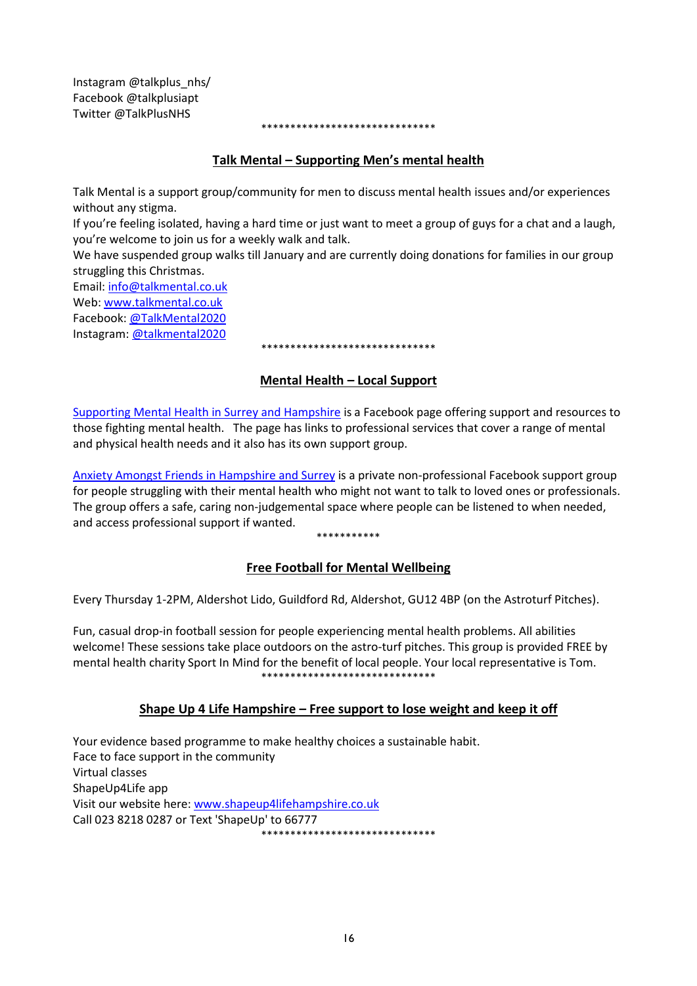Instagram @talkplus\_nhs/ Facebook @talkplusiapt Twitter @TalkPlusNHS

#### \*\*\*\*\*\*\*\*\*\*\*\*\*\*\*\*\*\*\*\*\*\*\*\*\*\*\*\*\*\*

### **Talk Mental – Supporting Men's mental health**

Talk Mental is a support group/community for men to discuss mental health issues and/or experiences without any stigma.

If you're feeling isolated, having a hard time or just want to meet a group of guys for a chat and a laugh, you're welcome to join us for a weekly walk and talk.

We have suspended group walks till January and are currently doing donations for families in our group struggling this Christmas.

Email: [info@talkmental.co.uk](mailto:info@talkmental.co.uk) Web: [www.talkmental.co.uk](http://www.talkmental.co.uk/)

Facebook[: @TalkMental2020](https://www.facebook.com/TalkMental2020/)

Instagram[: @talkmental2020](https://www.instagram.com/talkmental2020/)

#### \*\*\*\*\*\*\*\*\*\*\*\*\*\*\*\*\*\*\*\*\*\*\*\*\*\*\*\*\*\*

### **Mental Health – Local Support**

[Supporting Mental Health in Surrey and Hampshire](https://www.facebook.com/supportingmentalhealthinhampshireandsurrey/) is a Facebook page offering support and resources to those fighting mental health. The page has links to professional services that cover a range of mental and physical health needs and it also has its own support group.

[Anxiety Amongst Friends in Hampshire and Surrey](https://www.facebook.com/groups/690799601803002/?fref=mentions&__xts__%5b0%5d=68.ARAPdjPE6Z-rzDmrJCIL4ft-iujFWYsIeFEHcWC6TPFcxtL5dUkxg1_5GPH2L6_Xkesr-YFy9WNvaN2fwzoiYOOzd15ZdyBMjACxhcVXHs2ok-kU2kChm3Vt4ghgnJhehiMQAKLZfJ64-ZwSZwpt-1aqnca3-dr11UH90_EQH62IYiQfVpNRksXbC-hwBw_aZHecKnX_ZM7pub0XJ3po2z-C8WZWT0tQbuX3VGRv-t4h0KI5mlORcfWpHpahDP49uQmwjsQL4MOcv8CZ9z8T_OIBlY9zli0-96oBpG2RSaO-VM_umVM) is a private non-professional Facebook support group for people struggling with their mental health who might not want to talk to loved ones or professionals. The group offers a safe, caring non-judgemental space where people can be listened to when needed, and access professional support if wanted.

#### \*\*\*\*\*\*\*\*\*\*\*

### **Free Football for Mental Wellbeing**

Every Thursday 1-2PM, Aldershot Lido, Guildford Rd, Aldershot, GU12 4BP (on the Astroturf Pitches).

Fun, casual drop-in football session for people experiencing mental health problems. All abilities welcome! These sessions take place outdoors on the astro-turf pitches. This group is provided FREE by mental health charity Sport In Mind for the benefit of local people. Your local representative is Tom. \*\*\*\*\*\*\*\*\*\*\*\*\*\*\*\*\*\*\*\*\*\*\*\*\*\*\*\*\*\*

### **Shape Up 4 Life Hampshire – Free support to lose weight and keep it off**

Your evidence based programme to make healthy choices a sustainable habit. Face to face support in the community Virtual classes ShapeUp4Life app Visit our website here[: www.shapeup4lifehampshire.co.uk](http://www.shapeup4lifehampshire.co.uk/) Call 023 8218 0287 or Text 'ShapeUp' to 66777 \*\*\*\*\*\*\*\*\*\*\*\*\*\*\*\*\*\*\*\*\*\*\*\*\*\*\*\*\*\*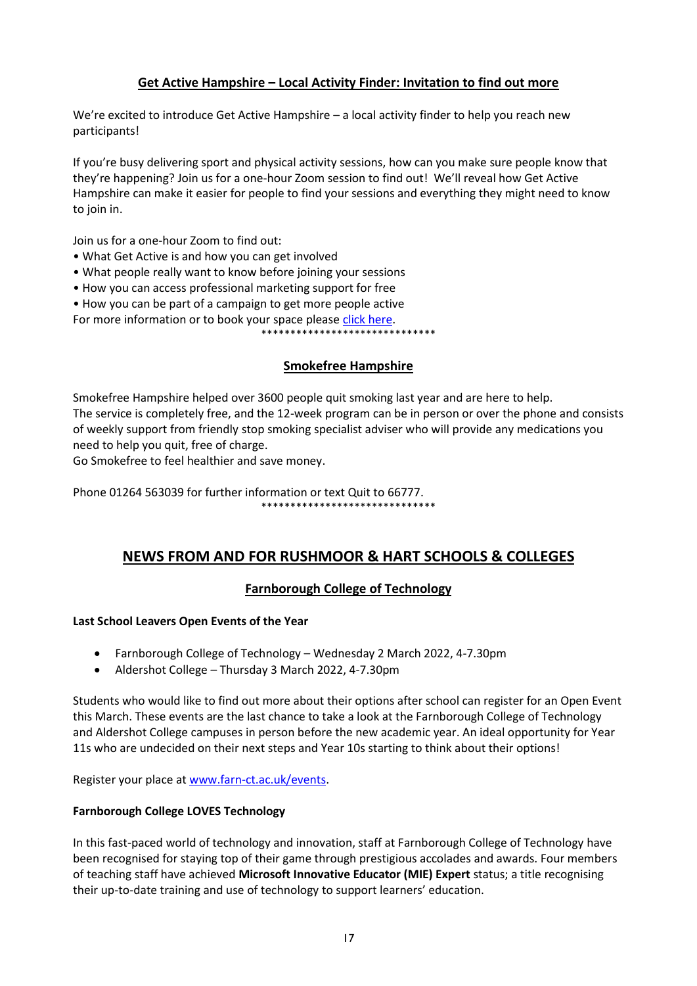### **Get Active Hampshire – Local Activity Finder: Invitation to find out more**

We're excited to introduce Get Active Hampshire – a local activity finder to help you reach new participants!

If you're busy delivering sport and physical activity sessions, how can you make sure people know that they're happening? Join us for a one-hour Zoom session to find out! We'll reveal how Get Active Hampshire can make it easier for people to find your sessions and everything they might need to know to join in.

Join us for a one-hour Zoom to find out:

- What Get Active is and how you can get involved
- What people really want to know before joining your sessions
- How you can access professional marketing support for free
- How you can be part of a campaign to get more people active

For more information or to book your space please [click here.](https://www.energiseme.org/events/reach-more-people-with-get-active-hampshire/)

\*\*\*\*\*\*\*\*\*\*\*\*\*\*\*\*\*\*\*\*\*\*\*\*\*\*\*\*\*\*

### **Smokefree Hampshire**

Smokefree Hampshire helped over 3600 people quit smoking last year and are here to help. The service is completely free, and the 12-week program can be in person or over the phone and consists of weekly support from friendly stop smoking specialist adviser who will provide any medications you need to help you quit, free of charge.

Go Smokefree to feel healthier and save money.

Phone 01264 563039 for further information or text Quit to 66777. \*\*\*\*\*\*\*\*\*\*\*\*\*\*\*\*\*\*\*\*\*\*\*\*\*\*\*\*\*\*

## **NEWS FROM AND FOR RUSHMOOR & HART SCHOOLS & COLLEGES**

### **Farnborough College of Technology**

#### **Last School Leavers Open Events of the Year**

- Farnborough College of Technology Wednesday 2 March 2022, 4-7.30pm
- Aldershot College Thursday 3 March 2022, 4-7.30pm

Students who would like to find out more about their options after school can register for an Open Event this March. These events are the last chance to take a look at the Farnborough College of Technology and Aldershot College campuses in person before the new academic year. An ideal opportunity for Year 11s who are undecided on their next steps and Year 10s starting to think about their options!

Register your place at [www.farn-ct.ac.uk/events.](http://www.farn-ct.ac.uk/events)

#### **Farnborough College LOVES Technology**

In this fast-paced world of technology and innovation, staff at Farnborough College of Technology have been recognised for staying top of their game through prestigious accolades and awards. Four members of teaching staff have achieved **Microsoft Innovative Educator (MIE) Expert** status; a title recognising their up-to-date training and use of technology to support learners' education.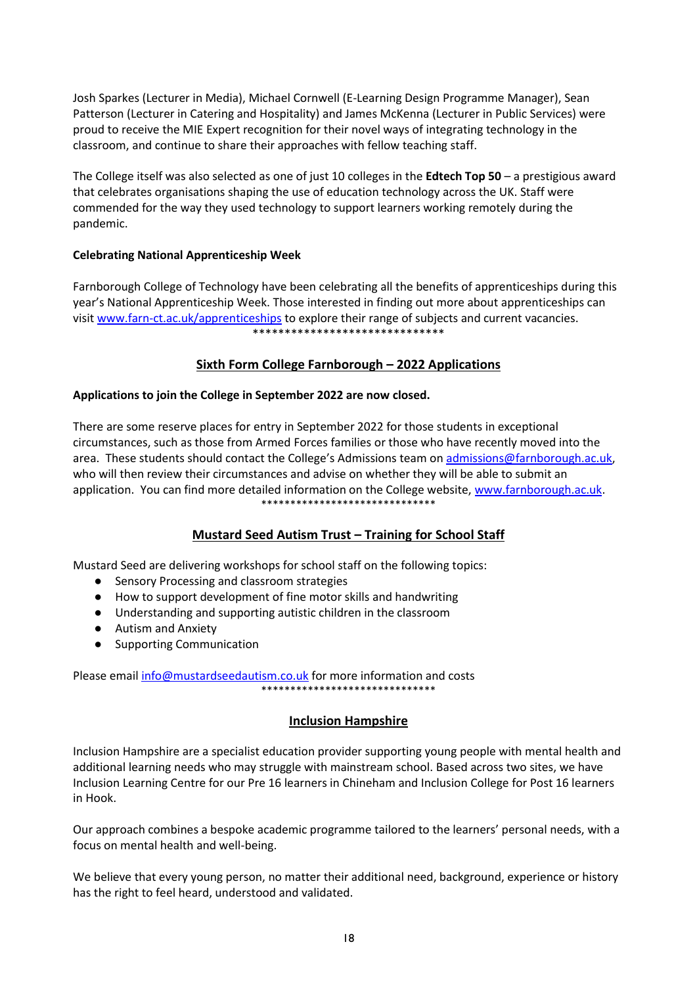Josh Sparkes (Lecturer in Media), Michael Cornwell (E-Learning Design Programme Manager), Sean Patterson (Lecturer in Catering and Hospitality) and James McKenna (Lecturer in Public Services) were proud to receive the MIE Expert recognition for their novel ways of integrating technology in the classroom, and continue to share their approaches with fellow teaching staff.

The College itself was also selected as one of just 10 colleges in the **Edtech Top 50** – a prestigious award that celebrates organisations shaping the use of education technology across the UK. Staff were commended for the way they used technology to support learners working remotely during the pandemic.

### **Celebrating National Apprenticeship Week**

Farnborough College of Technology have been celebrating all the benefits of apprenticeships during this year's National Apprenticeship Week. Those interested in finding out more about apprenticeships can visit [www.farn-ct.ac.uk/apprenticeships](http://www.farn-ct.ac.uk/apprenticeships) to explore their range of subjects and current vacancies. \*\*\*\*\*\*\*\*\*\*\*\*\*\*\*\*\*\*\*\*\*\*\*\*\*\*\*\*\*\*

### **Sixth Form College Farnborough – 2022 Applications**

### **Applications to join the College in September 2022 are now closed.**

There are some reserve places for entry in September 2022 for those students in exceptional circumstances, such as those from Armed Forces families or those who have recently moved into the area. These students should contact the College's Admissions team on [admissions@farnborough.ac.uk,](mailto:admissions@farnborough.ac.uk) who will then review their circumstances and advise on whether they will be able to submit an application. You can find more detailed information on the College website, [www.farnborough.ac.uk.](http://www.farnborough.ac.uk/) \*\*\*\*\*\*\*\*\*\*\*\*\*\*\*\*\*\*\*\*\*\*\*\*\*\*\*\*\*\*

### **Mustard Seed Autism Trust – Training for School Staff**

Mustard Seed are delivering workshops for school staff on the following topics:

- Sensory Processing and classroom strategies
- How to support development of fine motor skills and handwriting
- Understanding and supporting autistic children in the classroom
- Autism and Anxiety
- Supporting Communication

Please emai[l info@mustardseedautism.co.uk](mailto:info@mustardseedautism.co.uk) for more information and costs \*\*\*\*\*\*\*\*\*\*\*\*\*\*\*\*\*\*\*\*\*\*\*\*\*\*\*\*\*\*

### **Inclusion Hampshire**

Inclusion Hampshire are a specialist education provider supporting young people with mental health and additional learning needs who may struggle with mainstream school. Based across two sites, we have Inclusion Learning Centre for our Pre 16 learners in Chineham and Inclusion College for Post 16 learners in Hook.

Our approach combines a bespoke academic programme tailored to the learners' personal needs, with a focus on mental health and well-being.

We believe that every young person, no matter their additional need, background, experience or history has the right to feel heard, understood and validated.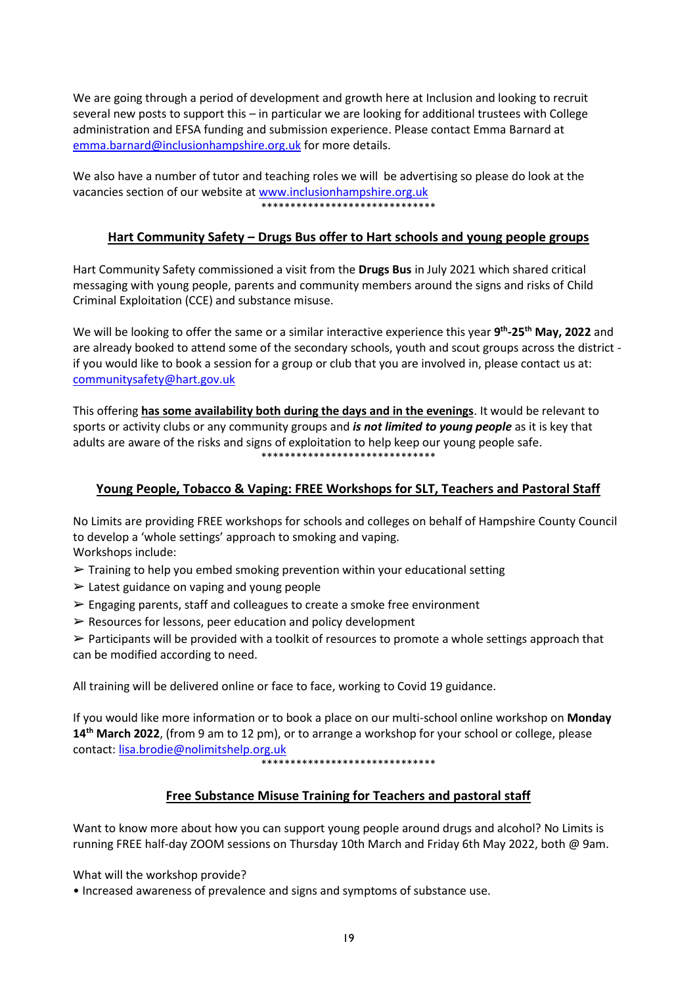We are going through a period of development and growth here at Inclusion and looking to recruit several new posts to support this – in particular we are looking for additional trustees with College administration and EFSA funding and submission experience. Please contact Emma Barnard at [emma.barnard@inclusionhampshire.org.uk](mailto:emma.barnard@inclusionhampshire.org.uk) for more details.

We also have a number of tutor and teaching roles we will be advertising so please do look at the vacancies section of our website at [www.inclusionhampshire.org.uk](http://www.inclusionhampshire.org.uk/) \*\*\*\*\*\*\*\*\*\*\*\*\*\*\*\*\*\*\*\*\*\*\*\*\*\*\*\*\*\*

## **Hart Community Safety – Drugs Bus offer to Hart schools and young people groups**

Hart Community Safety commissioned a visit from the **Drugs Bus** in July 2021 which shared critical messaging with young people, parents and community members around the signs and risks of Child Criminal Exploitation (CCE) and substance misuse.

We will be looking to offer the same or a similar interactive experience this year **9 th -25th May, 2022** and are already booked to attend some of the secondary schools, youth and scout groups across the district if you would like to book a session for a group or club that you are involved in, please contact us at: [communitysafety@hart.gov.uk](mailto:communitysafety@hart.gov.uk)

This offering **has some availability both during the days and in the evenings**. It would be relevant to sports or activity clubs or any community groups and *is not limited to young people* as it is key that adults are aware of the risks and signs of exploitation to help keep our young people safe. \*\*\*\*\*\*\*\*\*\*\*\*\*\*\*\*\*\*\*\*\*\*\*\*\*\*\*\*\*\*

### **Young People, Tobacco & Vaping: FREE Workshops for SLT, Teachers and Pastoral Staff**

No Limits are providing FREE workshops for schools and colleges on behalf of Hampshire County Council to develop a 'whole settings' approach to smoking and vaping. Workshops include:

- ➢ Training to help you embed smoking prevention within your educational setting
- $\triangleright$  Latest guidance on vaping and young people
- $\triangleright$  Engaging parents, staff and colleagues to create a smoke free environment
- $\triangleright$  Resources for lessons, peer education and policy development

➢ Participants will be provided with a toolkit of resources to promote a whole settings approach that can be modified according to need.

All training will be delivered online or face to face, working to Covid 19 guidance.

If you would like more information or to book a place on our multi-school online workshop on **Monday 14th March 2022**, (from 9 am to 12 pm), or to arrange a workshop for your school or college, please contact: [lisa.brodie@nolimitshelp.org.uk](mailto:lisa.brodie@nolimitshelp.org.uk)

\*\*\*\*\*\*\*\*\*\*\*\*\*\*\*\*\*\*\*\*\*\*\*\*\*\*\*\*\*\*

### **Free Substance Misuse Training for Teachers and pastoral staff**

Want to know more about how you can support young people around drugs and alcohol? No Limits is running FREE half-day ZOOM sessions on Thursday 10th March and Friday 6th May 2022, both @ 9am.

What will the workshop provide?

• Increased awareness of prevalence and signs and symptoms of substance use.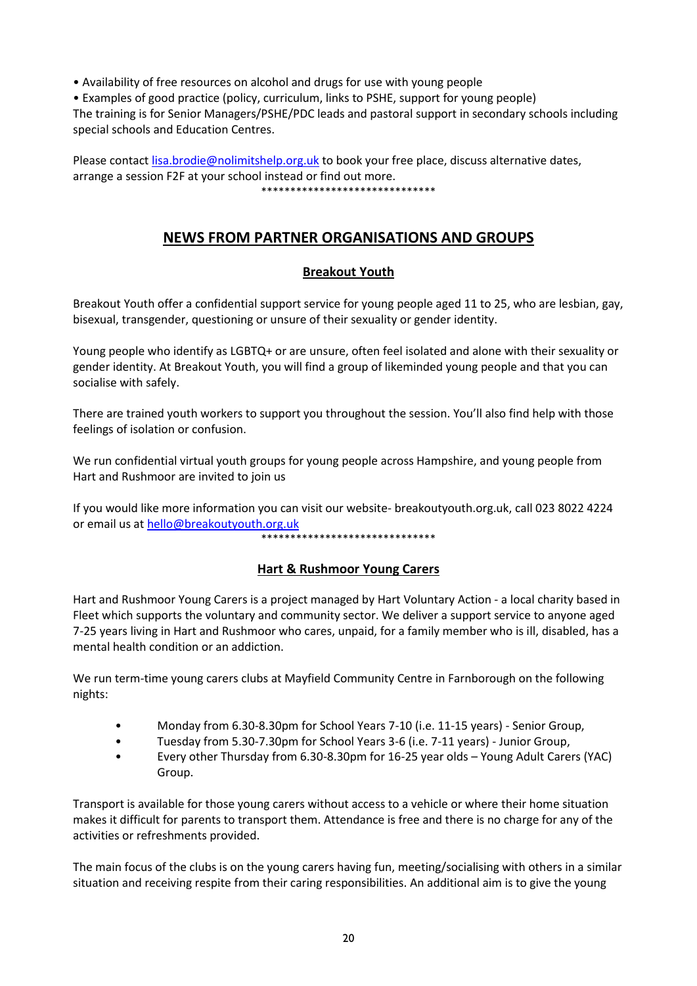• Availability of free resources on alcohol and drugs for use with young people

• Examples of good practice (policy, curriculum, links to PSHE, support for young people)

The training is for Senior Managers/PSHE/PDC leads and pastoral support in secondary schools including special schools and Education Centres.

Please contac[t lisa.brodie@nolimitshelp.org.uk](mailto:lisa.brodie@nolimitshelp.org.uk) to book your free place, discuss alternative dates, arrange a session F2F at your school instead or find out more. \*\*\*\*\*\*\*\*\*\*\*\*\*\*\*\*\*\*\*\*\*\*\*\*\*\*\*\*\*\*

## **NEWS FROM PARTNER ORGANISATIONS AND GROUPS**

### **Breakout Youth**

Breakout Youth offer a confidential support service for young people aged 11 to 25, who are lesbian, gay, bisexual, transgender, questioning or unsure of their sexuality or gender identity.

Young people who identify as LGBTQ+ or are unsure, often feel isolated and alone with their sexuality or gender identity. At Breakout Youth, you will find a group of likeminded young people and that you can socialise with safely.

There are trained youth workers to support you throughout the session. You'll also find help with those feelings of isolation or confusion.

We run confidential virtual youth groups for young people across Hampshire, and young people from Hart and Rushmoor are invited to join us

If you would like more information you can visit our website- breakoutyouth.org.uk, call 023 8022 4224 or email us a[t hello@breakoutyouth.org.uk](mailto:hello@breakoutyouth.org.uk)

\*\*\*\*\*\*\*\*\*\*\*\*\*\*\*\*\*\*\*\*\*\*\*\*\*\*\*\*\*\*

### **Hart & Rushmoor Young Carers**

Hart and Rushmoor Young Carers is a project managed by Hart Voluntary Action - a local charity based in Fleet which supports the voluntary and community sector. We deliver a support service to anyone aged 7-25 years living in Hart and Rushmoor who cares, unpaid, for a family member who is ill, disabled, has a mental health condition or an addiction.

We run term-time young carers clubs at Mayfield Community Centre in Farnborough on the following nights:

- Monday from 6.30-8.30pm for School Years 7-10 (i.e. 11-15 years) Senior Group,
- Tuesday from 5.30-7.30pm for School Years 3-6 (i.e. 7-11 years) Junior Group,
- Every other Thursday from 6.30-8.30pm for 16-25 year olds Young Adult Carers (YAC) Group.

Transport is available for those young carers without access to a vehicle or where their home situation makes it difficult for parents to transport them. Attendance is free and there is no charge for any of the activities or refreshments provided.

The main focus of the clubs is on the young carers having fun, meeting/socialising with others in a similar situation and receiving respite from their caring responsibilities. An additional aim is to give the young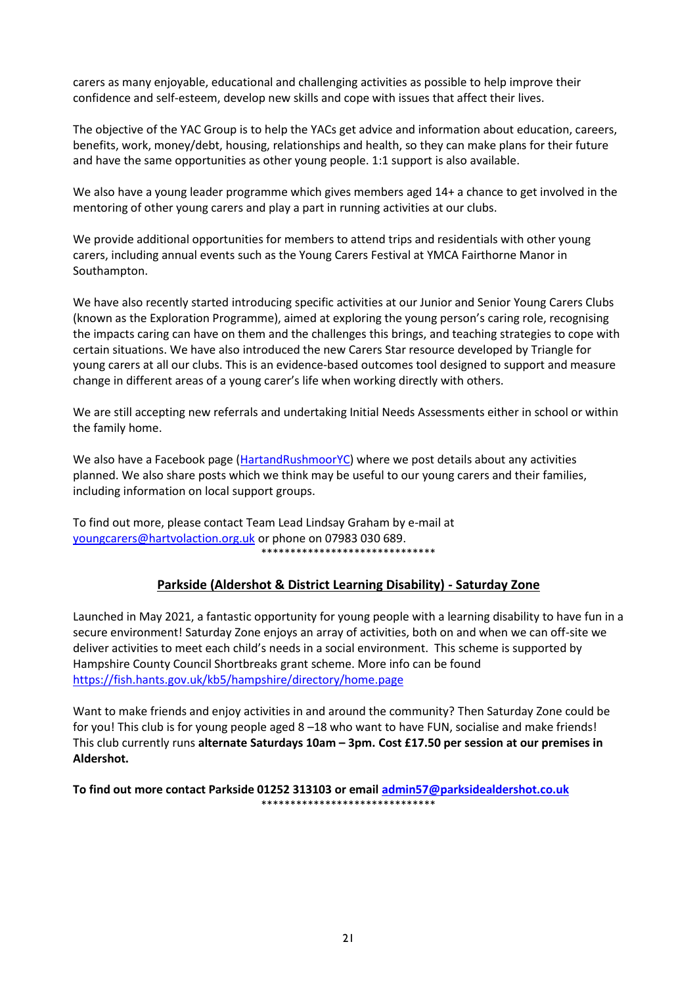carers as many enjoyable, educational and challenging activities as possible to help improve their confidence and self-esteem, develop new skills and cope with issues that affect their lives.

The objective of the YAC Group is to help the YACs get advice and information about education, careers, benefits, work, money/debt, housing, relationships and health, so they can make plans for their future and have the same opportunities as other young people. 1:1 support is also available.

We also have a young leader programme which gives members aged 14+ a chance to get involved in the mentoring of other young carers and play a part in running activities at our clubs.

We provide additional opportunities for members to attend trips and residentials with other young carers, including annual events such as the Young Carers Festival at YMCA Fairthorne Manor in Southampton.

We have also recently started introducing specific activities at our Junior and Senior Young Carers Clubs (known as the Exploration Programme), aimed at exploring the young person's caring role, recognising the impacts caring can have on them and the challenges this brings, and teaching strategies to cope with certain situations. We have also introduced the new Carers Star resource developed by Triangle for young carers at all our clubs. This is an evidence-based outcomes tool designed to support and measure change in different areas of a young carer's life when working directly with others.

We are still accepting new referrals and undertaking Initial Needs Assessments either in school or within the family home.

We also have a Facebook page [\(HartandRushmoorYC\)](https://www.facebook.com/HartandRushmoorYC/) where we post details about any activities planned. We also share posts which we think may be useful to our young carers and their families, including information on local support groups.

To find out more, please contact Team Lead Lindsay Graham by e-mail at [youngcarers@hartvolaction.org.uk](mailto:youngcarers@hartvolaction.org.uk) or phone on 07983 030 689. \*\*\*\*\*\*\*\*\*\*\*\*\*\*\*\*\*\*\*\*\*\*\*\*\*\*\*\*\*\*

### **Parkside (Aldershot & District Learning Disability) - Saturday Zone**

Launched in May 2021, a fantastic opportunity for young people with a learning disability to have fun in a secure environment! Saturday Zone enjoys an array of activities, both on and when we can off-site we deliver activities to meet each child's needs in a social environment. This scheme is supported by Hampshire County Council Shortbreaks grant scheme. More info can be found <https://fish.hants.gov.uk/kb5/hampshire/directory/home.page>

Want to make friends and enjoy activities in and around the community? Then Saturday Zone could be for you! This club is for young people aged 8 –18 who want to have FUN, socialise and make friends! This club currently runs **alternate Saturdays 10am – 3pm. Cost £17.50 per session at our premises in Aldershot.**

**To find out more contact Parkside 01252 313103 or email [admin57@parksidealdershot.co.uk](mailto:admin57@parksidealdershot.co.uk)** \*\*\*\*\*\*\*\*\*\*\*\*\*\*\*\*\*\*\*\*\*\*\*\*\*\*\*\*\*\*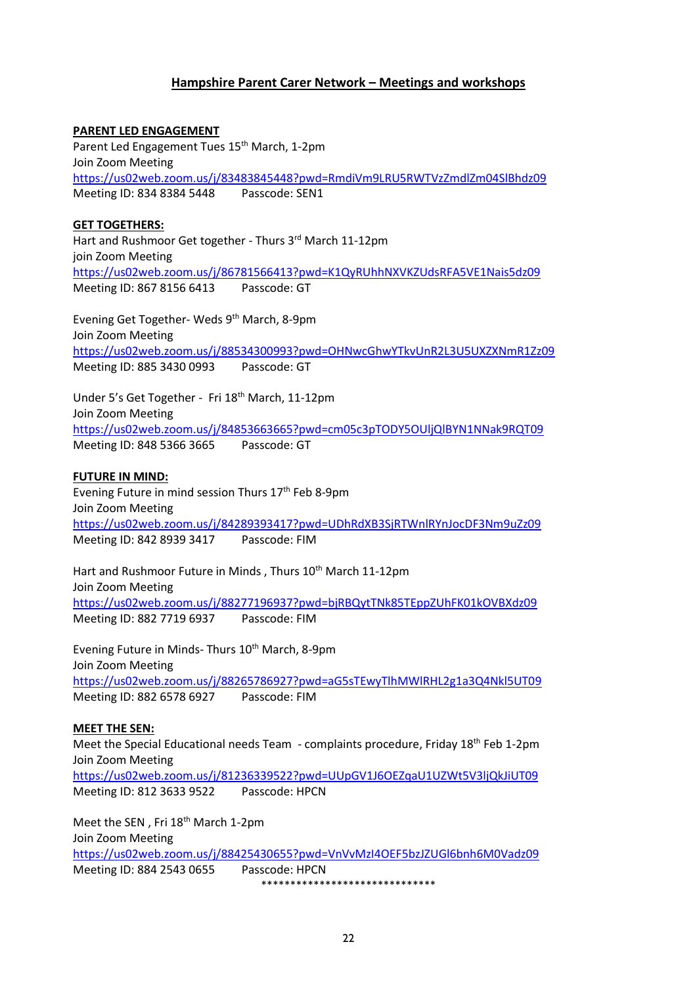### **Hampshire Parent Carer Network – Meetings and workshops**

**PARENT LED ENGAGEMENT** Parent Led Engagement Tues 15<sup>th</sup> March, 1-2pm Join Zoom Meeting <https://us02web.zoom.us/j/83483845448?pwd=RmdiVm9LRU5RWTVzZmdlZm04SlBhdz09> Meeting ID: 834 8384 5448 Passcode: SEN1 **GET TOGETHERS:** Hart and Rushmoor Get together - Thurs 3rd March 11-12pm join Zoom Meeting <https://us02web.zoom.us/j/86781566413?pwd=K1QyRUhhNXVKZUdsRFA5VE1Nais5dz09>

Meeting ID: 867 8156 6413 Passcode: GT

Evening Get Together- Weds 9th March, 8-9pm Join Zoom Meeting <https://us02web.zoom.us/j/88534300993?pwd=OHNwcGhwYTkvUnR2L3U5UXZXNmR1Zz09> Meeting ID: 885 3430 0993 Passcode: GT

Under 5's Get Together - Fri 18<sup>th</sup> March, 11-12pm Join Zoom Meeting <https://us02web.zoom.us/j/84853663665?pwd=cm05c3pTODY5OUljQlBYN1NNak9RQT09> Meeting ID: 848 5366 3665 Passcode: GT

#### **FUTURE IN MIND:**

Evening Future in mind session Thurs 17<sup>th</sup> Feb 8-9pm Join Zoom Meeting <https://us02web.zoom.us/j/84289393417?pwd=UDhRdXB3SjRTWnlRYnJocDF3Nm9uZz09> Meeting ID: 842 8939 3417 Passcode: FIM

Hart and Rushmoor Future in Minds, Thurs 10<sup>th</sup> March 11-12pm Join Zoom Meeting <https://us02web.zoom.us/j/88277196937?pwd=bjRBQytTNk85TEppZUhFK01kOVBXdz09> Meeting ID: 882 7719 6937 Passcode: FIM

Evening Future in Minds- Thurs 10<sup>th</sup> March, 8-9pm Join Zoom Meeting <https://us02web.zoom.us/j/88265786927?pwd=aG5sTEwyTlhMWlRHL2g1a3Q4Nkl5UT09> Meeting ID: 882 6578 6927 Passcode: FIM

#### **MEET THE SEN:**

Meet the Special Educational needs Team - complaints procedure, Friday  $18<sup>th</sup>$  Feb 1-2pm Join Zoom Meeting <https://us02web.zoom.us/j/81236339522?pwd=UUpGV1J6OEZqaU1UZWt5V3ljQkJiUT09> Meeting ID: 812 3633 9522 Passcode: HPCN

Meet the SEN, Fri 18<sup>th</sup> March 1-2pm Join Zoom Meeting <https://us02web.zoom.us/j/88425430655?pwd=VnVvMzI4OEF5bzJZUGl6bnh6M0Vadz09> Meeting ID: 884 2543 0655 Passcode: HPCN \*\*\*\*\*\*\*\*\*\*\*\*\*\*\*\*\*\*\*\*\*\*\*\*\*\*\*\*\*\*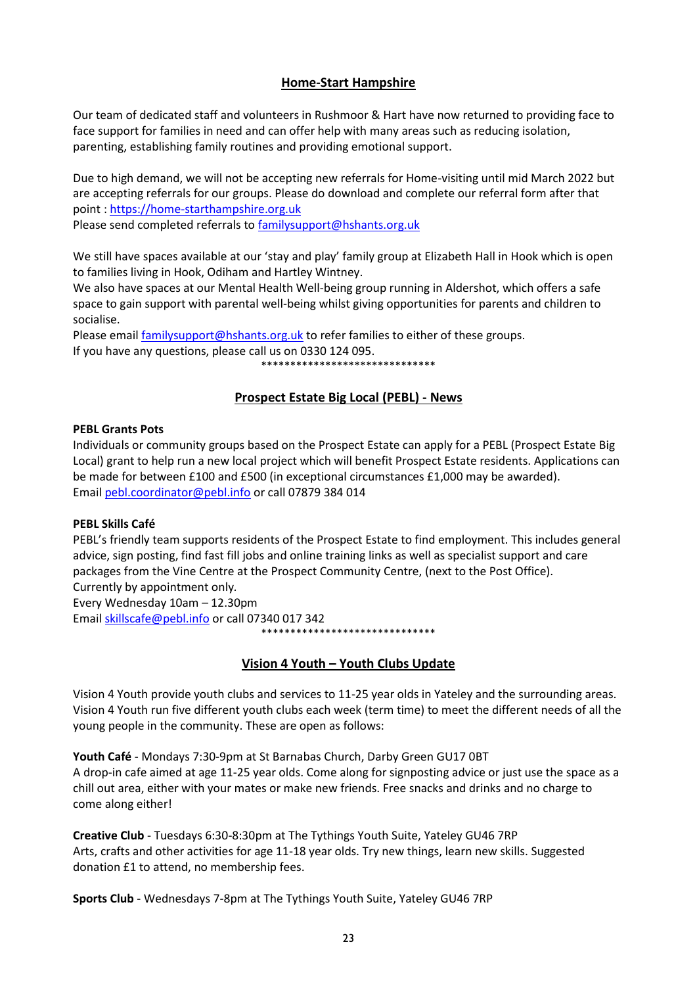### **Home-Start Hampshire**

Our team of dedicated staff and volunteers in Rushmoor & Hart have now returned to providing face to face support for families in need and can offer help with many areas such as reducing isolation, parenting, establishing family routines and providing emotional support.

Due to high demand, we will not be accepting new referrals for Home-visiting until mid March 2022 but are accepting referrals for our groups. Please do download and complete our referral form after that point : [https://home-starthampshire.org.uk](https://home-starthampshire.org.uk/) Please send completed referrals to [familysupport@hshants.org.uk](mailto:familysupport@hshants.org.uk)

We still have spaces available at our 'stay and play' family group at Elizabeth Hall in Hook which is open to families living in Hook, Odiham and Hartley Wintney.

We also have spaces at our Mental Health Well-being group running in Aldershot, which offers a safe space to gain support with parental well-being whilst giving opportunities for parents and children to socialise.

Please emai[l familysupport@hshants.org.uk](mailto:familysupport@hshants.org.uk) to refer families to either of these groups. If you have any questions, please call us on 0330 124 095. \*\*\*\*\*\*\*\*\*\*\*\*\*\*\*\*\*\*\*\*\*\*\*\*\*\*\*\*\*\*

## **Prospect Estate Big Local (PEBL) - News**

#### **PEBL Grants Pots**

Individuals or community groups based on the Prospect Estate can apply for a PEBL (Prospect Estate Big Local) grant to help run a new local project which will benefit Prospect Estate residents. Applications can be made for between £100 and £500 (in exceptional circumstances £1,000 may be awarded). Emai[l pebl.coordinator@pebl.info](mailto:pebl.coordinator@pebl.infom) or call 07879 384 014

#### **PEBL Skills Café**

PEBL's friendly team supports residents of the Prospect Estate to find employment. This includes general advice, sign posting, find fast fill jobs and online training links as well as specialist support and care packages from the Vine Centre at the Prospect Community Centre, (next to the Post Office). Currently by appointment only*.* 

Every Wednesday 10am – 12.30pm Email [skillscafe@pebl.info](mailto:skillscafe@pebl.info) or call 07340 017 342 \*\*\*\*\*\*\*\*\*\*\*\*\*\*\*\*\*\*\*\*\*\*\*\*\*\*\*\*\*\*

### **Vision 4 Youth – Youth Clubs Update**

Vision 4 Youth provide youth clubs and services to 11-25 year olds in Yateley and the surrounding areas. Vision 4 Youth run five different youth clubs each week (term time) to meet the different needs of all the young people in the community. These are open as follows:

**Youth Café** - Mondays 7:30-9pm at St Barnabas Church, Darby Green GU17 0BT A drop-in cafe aimed at age 11-25 year olds. Come along for signposting advice or just use the space as a chill out area, either with your mates or make new friends. Free snacks and drinks and no charge to come along either!

**Creative Club** - Tuesdays 6:30-8:30pm at The Tythings Youth Suite, Yateley GU46 7RP Arts, crafts and other activities for age 11-18 year olds. Try new things, learn new skills. Suggested donation £1 to attend, no membership fees.

**Sports Club** - Wednesdays 7-8pm at The Tythings Youth Suite, Yateley GU46 7RP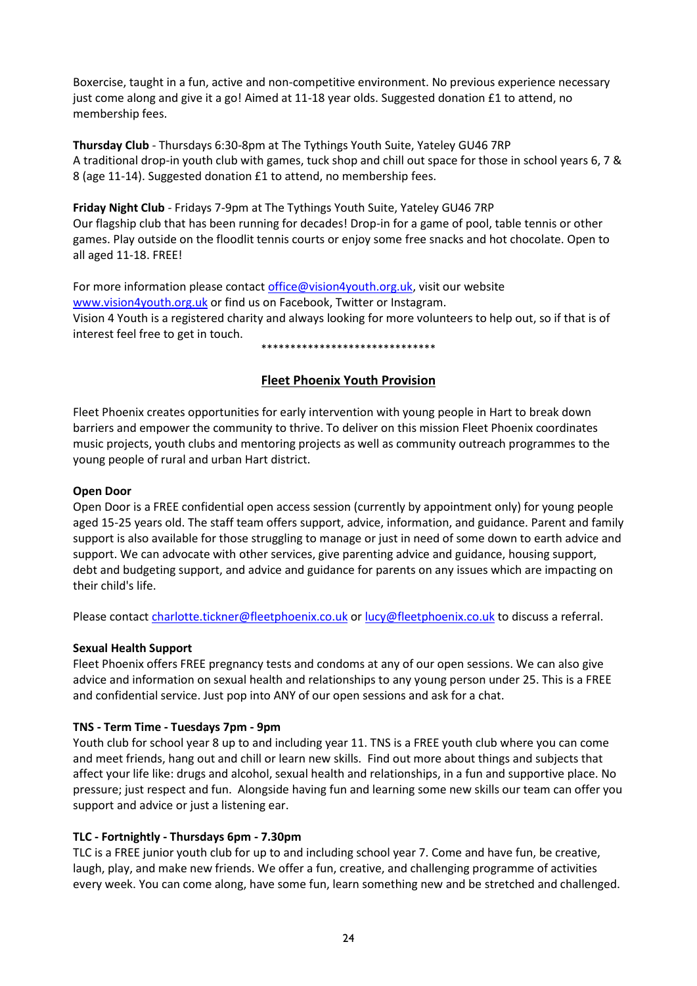Boxercise, taught in a fun, active and non-competitive environment. No previous experience necessary just come along and give it a go! Aimed at 11-18 year olds. Suggested donation £1 to attend, no membership fees.

**Thursday Club** - Thursdays 6:30-8pm at The Tythings Youth Suite, Yateley GU46 7RP A traditional drop-in youth club with games, tuck shop and chill out space for those in school years 6, 7 & 8 (age 11-14). Suggested donation £1 to attend, no membership fees.

**Friday Night Club** - Fridays 7-9pm at The Tythings Youth Suite, Yateley GU46 7RP Our flagship club that has been running for decades! Drop-in for a game of pool, table tennis or other games. Play outside on the floodlit tennis courts or enjoy some free snacks and hot chocolate. Open to all aged 11-18. FREE!

For more information please contact [office@vision4youth.org.uk,](mailto:office@vision4youth.org.uk) visit our website [www.vision4youth.org.uk](http://www.vision4youth.org.uk/) or find us on Facebook, Twitter or Instagram. Vision 4 Youth is a registered charity and always looking for more volunteers to help out, so if that is of interest feel free to get in touch.

\*\*\*\*\*\*\*\*\*\*\*\*\*\*\*\*\*\*\*\*\*\*\*\*\*\*\*\*\*\*

### **Fleet Phoenix Youth Provision**

Fleet Phoenix creates opportunities for early intervention with young people in Hart to break down barriers and empower the community to thrive. To deliver on this mission Fleet Phoenix coordinates music projects, youth clubs and mentoring projects as well as community outreach programmes to the young people of rural and urban Hart district.

#### **Open Door**

Open Door is a FREE confidential open access session (currently by appointment only) for young people aged 15-25 years old. The staff team offers support, advice, information, and guidance. Parent and family support is also available for those struggling to manage or just in need of some down to earth advice and support. We can advocate with other services, give parenting advice and guidance, housing support, debt and budgeting support, and advice and guidance for parents on any issues which are impacting on their child's life.

Please contac[t charlotte.tickner@fleetphoenix.co.uk](mailto:charlotte.tickner@fleetphoenix.co.uk) o[r lucy@fleetphoenix.co.uk](mailto:lucy@fleetphoenix.co.uk) to discuss a referral.

### **Sexual Health Support**

Fleet Phoenix offers FREE pregnancy tests and condoms at any of our open sessions. We can also give advice and information on sexual health and relationships to any young person under 25. This is a FREE and confidential service. Just pop into ANY of our open sessions and ask for a chat.

### **TNS - Term Time - Tuesdays 7pm - 9pm**

Youth club for school year 8 up to and including year 11. TNS is a FREE youth club where you can come and meet friends, hang out and chill or learn new skills. Find out more about things and subjects that affect your life like: drugs and alcohol, sexual health and relationships, in a fun and supportive place. No pressure; just respect and fun. Alongside having fun and learning some new skills our team can offer you support and advice or just a listening ear.

### **TLC - Fortnightly - Thursdays 6pm - 7.30pm**

TLC is a FREE junior youth club for up to and including school year 7. Come and have fun, be creative, laugh, play, and make new friends. We offer a fun, creative, and challenging programme of activities every week. You can come along, have some fun, learn something new and be stretched and challenged.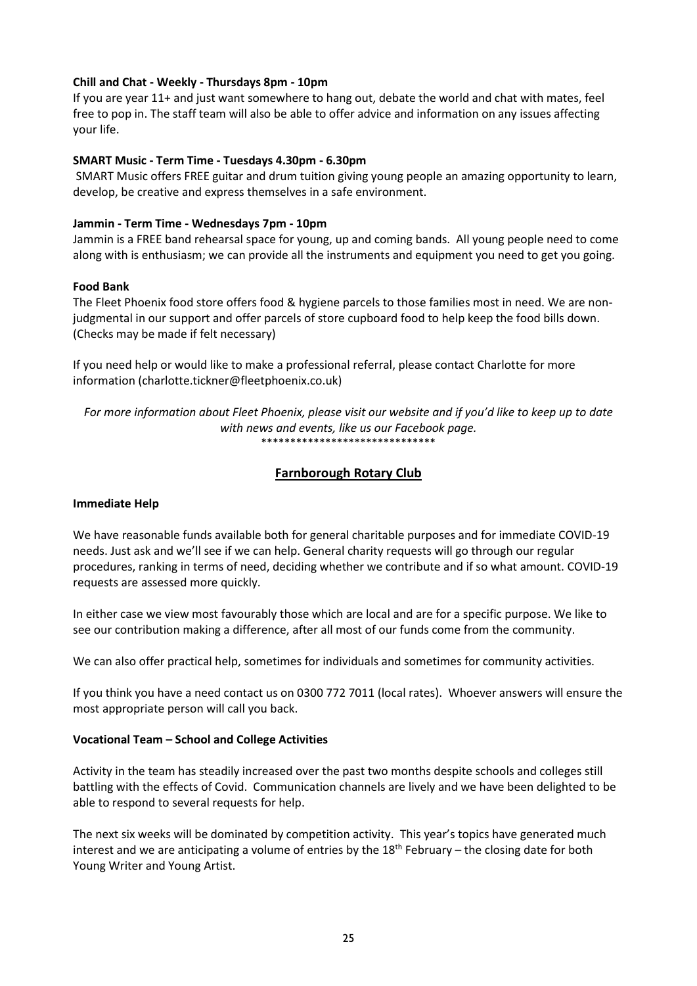#### **Chill and Chat - Weekly - Thursdays 8pm - 10pm**

If you are year 11+ and just want somewhere to hang out, debate the world and chat with mates, feel free to pop in. The staff team will also be able to offer advice and information on any issues affecting your life.

#### **SMART Music - Term Time - Tuesdays 4.30pm - 6.30pm**

SMART Music offers FREE guitar and drum tuition giving young people an amazing opportunity to learn, develop, be creative and express themselves in a safe environment.

#### **Jammin - Term Time - Wednesdays 7pm - 10pm**

Jammin is a FREE band rehearsal space for young, up and coming bands. All young people need to come along with is enthusiasm; we can provide all the instruments and equipment you need to get you going.

#### **Food Bank**

The Fleet Phoenix food store offers food & hygiene parcels to those families most in need. We are nonjudgmental in our support and offer parcels of store cupboard food to help keep the food bills down. (Checks may be made if felt necessary)

If you need help or would like to make a professional referral, please contact Charlotte for more information (charlotte.tickner@fleetphoenix.co.uk)

*For more information about Fleet Phoenix, please visit our website and if you'd like to keep up to date with news and events, like us our Facebook page.* \*\*\*\*\*\*\*\*\*\*\*\*\*\*\*\*\*\*\*\*\*\*\*\*\*\*\*\*\*\*

### **Farnborough Rotary Club**

### **Immediate Help**

We have reasonable funds available both for general charitable purposes and for immediate COVID-19 needs. Just ask and we'll see if we can help. General charity requests will go through our regular procedures, ranking in terms of need, deciding whether we contribute and if so what amount. COVID-19 requests are assessed more quickly.

In either case we view most favourably those which are local and are for a specific purpose. We like to see our contribution making a difference, after all most of our funds come from the community.

We can also offer practical help, sometimes for individuals and sometimes for community activities.

If you think you have a need contact us on 0300 772 7011 (local rates). Whoever answers will ensure the most appropriate person will call you back.

#### **Vocational Team – School and College Activities**

Activity in the team has steadily increased over the past two months despite schools and colleges still battling with the effects of Covid. Communication channels are lively and we have been delighted to be able to respond to several requests for help.

The next six weeks will be dominated by competition activity. This year's topics have generated much interest and we are anticipating a volume of entries by the  $18<sup>th</sup>$  February – the closing date for both Young Writer and Young Artist.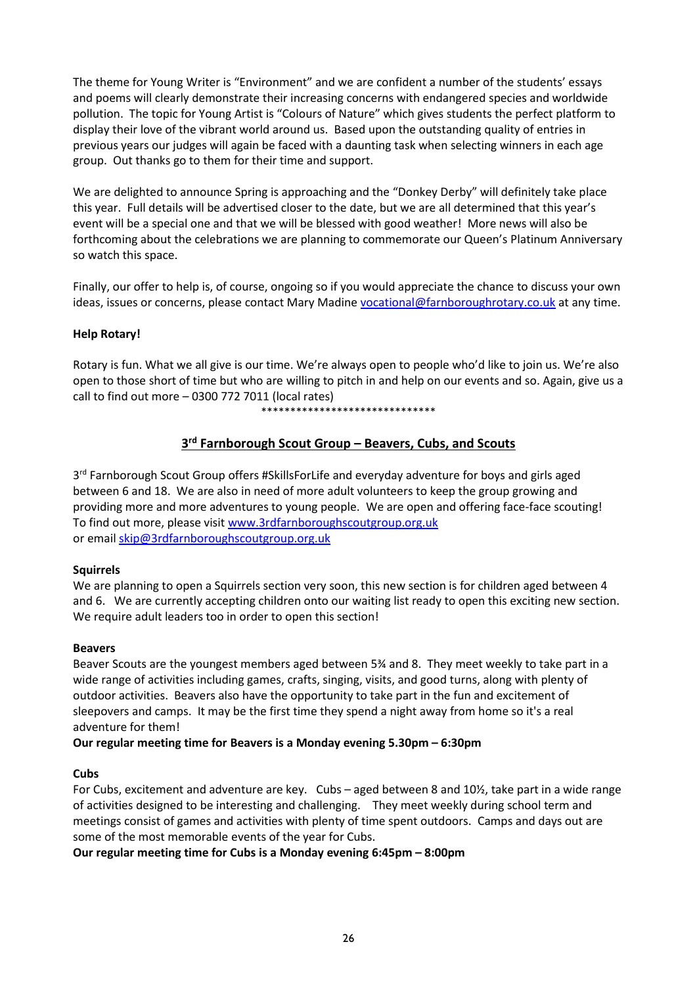The theme for Young Writer is "Environment" and we are confident a number of the students' essays and poems will clearly demonstrate their increasing concerns with endangered species and worldwide pollution. The topic for Young Artist is "Colours of Nature" which gives students the perfect platform to display their love of the vibrant world around us. Based upon the outstanding quality of entries in previous years our judges will again be faced with a daunting task when selecting winners in each age group. Out thanks go to them for their time and support.

We are delighted to announce Spring is approaching and the "Donkey Derby" will definitely take place this year. Full details will be advertised closer to the date, but we are all determined that this year's event will be a special one and that we will be blessed with good weather! More news will also be forthcoming about the celebrations we are planning to commemorate our Queen's Platinum Anniversary so watch this space.

Finally, our offer to help is, of course, ongoing so if you would appreciate the chance to discuss your own ideas, issues or concerns, please contact Mary Madin[e vocational@farnboroughrotary.co.uk](mailto:vocational@farnboroughrotary.co.uk) at any time.

### **Help Rotary!**

Rotary is fun. What we all give is our time. We're always open to people who'd like to join us. We're also open to those short of time but who are willing to pitch in and help on our events and so. Again, give us a call to find out more – 0300 772 7011 (local rates)

\*\*\*\*\*\*\*\*\*\*\*\*\*\*\*\*\*\*\*\*\*\*\*\*\*\*\*\*\*\*

### **3 rd Farnborough Scout Group – Beavers, Cubs, and Scouts**

3<sup>rd</sup> Farnborough Scout Group offers #SkillsForLife and everyday adventure for boys and girls aged between 6 and 18. We are also in need of more adult volunteers to keep the group growing and providing more and more adventures to young people. We are open and offering face-face scouting! To find out more, please visi[t www.3rdfarnboroughscoutgroup.org.uk](http://www.3rdfarnboroughscoutgroup.org.uk/) or emai[l skip@3rdfarnboroughscoutgroup.org.uk](mailto:skip@3rdfarnboroughscoutgroup.org.uk)

#### **Squirrels**

We are planning to open a Squirrels section very soon, this new section is for children aged between 4 and 6. We are currently accepting children onto our waiting list ready to open this exciting new section. We require adult leaders too in order to open this section!

#### **Beavers**

Beaver Scouts are the youngest members aged between 5¾ and 8. They meet weekly to take part in a wide range of activities including games, crafts, singing, visits, and good turns, along with plenty of outdoor activities. Beavers also have the opportunity to take part in the fun and excitement of sleepovers and camps. It may be the first time they spend a night away from home so it's a real adventure for them!

#### **Our regular meeting time for Beavers is a Monday evening 5.30pm – 6:30pm**

#### **Cubs**

For Cubs, excitement and adventure are key. Cubs – aged between 8 and 10½, take part in a wide range of activities designed to be interesting and challenging. They meet weekly during school term and meetings consist of games and activities with plenty of time spent outdoors. Camps and days out are some of the most memorable events of the year for Cubs.

**Our regular meeting time for Cubs is a Monday evening 6:45pm – 8:00pm**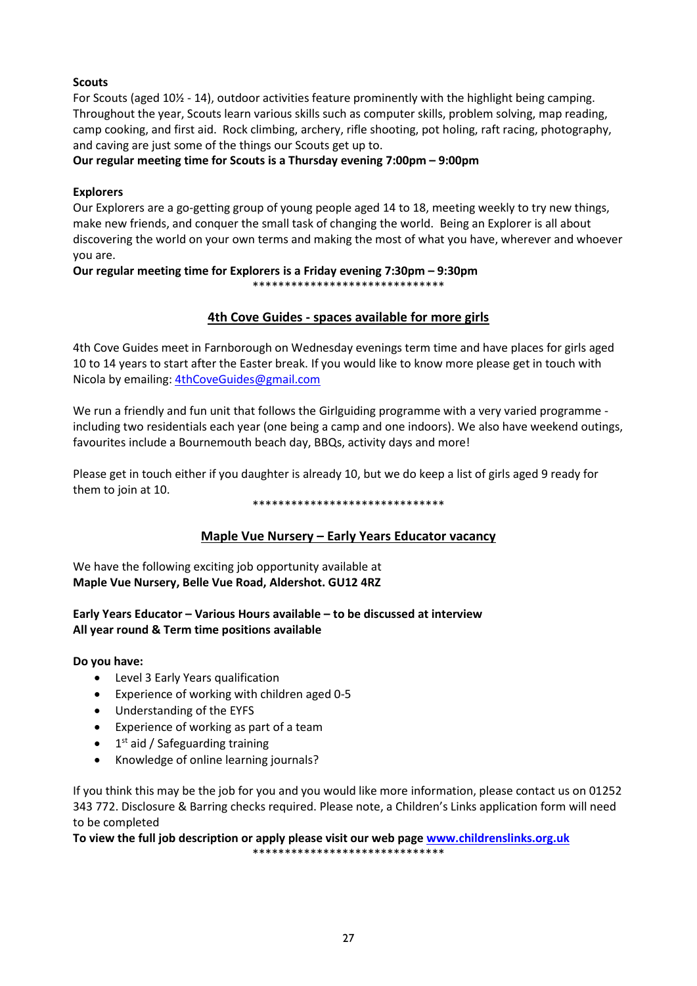### **Scouts**

For Scouts (aged 10½ - 14), outdoor activities feature prominently with the highlight being camping. Throughout the year, Scouts learn various skills such as computer skills, problem solving, map reading, camp cooking, and first aid. Rock climbing, archery, rifle shooting, pot holing, raft racing, photography, and caving are just some of the things our Scouts get up to.

### **Our regular meeting time for Scouts is a Thursday evening 7:00pm – 9:00pm**

### **Explorers**

Our Explorers are a go-getting group of young people aged 14 to 18, meeting weekly to try new things, make new friends, and conquer the small task of changing the world. Being an Explorer is all about discovering the world on your own terms and making the most of what you have, wherever and whoever you are.

## **Our regular meeting time for Explorers is a Friday evening 7:30pm – 9:30pm**

\*\*\*\*\*\*\*\*\*\*\*\*\*\*\*\*\*\*\*\*\*\*\*\*\*\*\*\*\*\*

### **4th Cove Guides - spaces available for more girls**

4th Cove Guides meet in Farnborough on Wednesday evenings term time and have places for girls aged 10 to 14 years to start after the Easter break. If you would like to know more please get in touch with Nicola by emailing[: 4thCoveGuides@gmail.com](mailto:4thCoveGuides@gmail.com)

We run a friendly and fun unit that follows the Girlguiding programme with a very varied programme including two residentials each year (one being a camp and one indoors). We also have weekend outings, favourites include a Bournemouth beach day, BBQs, activity days and more!

Please get in touch either if you daughter is already 10, but we do keep a list of girls aged 9 ready for them to join at 10.

#### \*\*\*\*\*\*\*\*\*\*\*\*\*\*\*\*\*\*\*\*\*\*\*\*\*\*\*\*\*\*

### **Maple Vue Nursery – Early Years Educator vacancy**

We have the following exciting job opportunity available at **Maple Vue Nursery, Belle Vue Road, Aldershot. GU12 4RZ**

### **Early Years Educator – Various Hours available – to be discussed at interview All year round & Term time positions available**

**Do you have:** 

- Level 3 Early Years qualification
- Experience of working with children aged 0-5
- Understanding of the EYFS
- Experience of working as part of a team
- 1<sup>st</sup> aid / Safeguarding training
- Knowledge of online learning journals?

If you think this may be the job for you and you would like more information, please contact us on 01252 343 772. Disclosure & Barring checks required. Please note, a Children's Links application form will need to be completed

**To view the full job description or apply please visit our web page [www.childrenslinks.org.uk](http://www.childrenslinks.org.uk/)** \*\*\*\*\*\*\*\*\*\*\*\*\*\*\*\*\*\*\*\*\*\*\*\*\*\*\*\*\*\*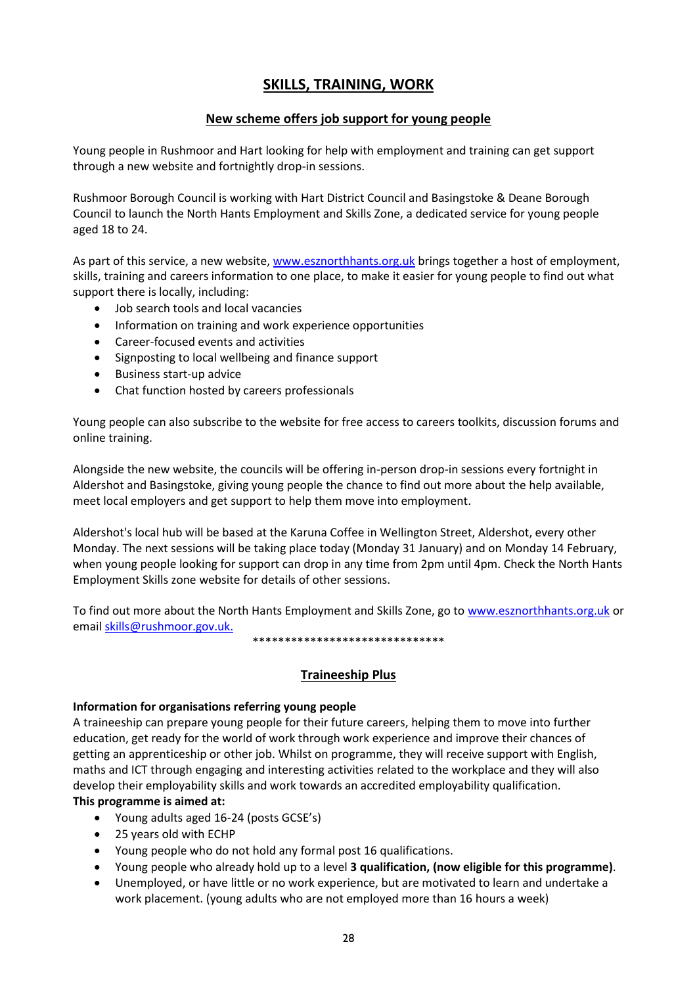## **SKILLS, TRAINING, WORK**

### **New scheme offers job support for young people**

Young people in Rushmoor and Hart looking for help with employment and training can get support through a new website and fortnightly drop-in sessions.

Rushmoor Borough Council is working with Hart District Council and Basingstoke & Deane Borough Council to launch the North Hants Employment and Skills Zone, a dedicated service for young people aged 18 to 24.

As part of this service, a new website, [www.esznorthhants.org.uk](http://www.esznorthhants.org.uk/) brings together a host of employment, skills, training and careers information to one place, to make it easier for young people to find out what support there is locally, including:

- Job search tools and local vacancies
- Information on training and work experience opportunities
- Career-focused events and activities
- Signposting to local wellbeing and finance support
- Business start-up advice
- Chat function hosted by careers professionals

Young people can also subscribe to the website for free access to careers toolkits, discussion forums and online training.

Alongside the new website, the councils will be offering in-person drop-in sessions every fortnight in Aldershot and Basingstoke, giving young people the chance to find out more about the help available, meet local employers and get support to help them move into employment.

Aldershot's local hub will be based at the Karuna Coffee in Wellington Street, Aldershot, every other Monday. The next sessions will be taking place today (Monday 31 January) and on Monday 14 February, when young people looking for support can drop in any time from 2pm until 4pm. Check the North Hants Employment Skills zone website for details of other sessions.

To find out more about the North Hants Employment and Skills Zone, go to [www.esznorthhants.org.uk](http://www.esznorthhants.org.uk/) or emai[l skills@rushmoor.gov.uk.](mailto:skills@rushmoor.gov.uk)

\*\*\*\*\*\*\*\*\*\*\*\*\*\*\*\*\*\*\*\*\*\*\*\*\*\*\*\*\*\*

### **Traineeship Plus**

#### **Information for organisations referring young people**

A traineeship can prepare young people for their future careers, helping them to move into further education, get ready for the world of work through work experience and improve their chances of getting an apprenticeship or other job. Whilst on programme, they will receive support with English, maths and ICT through engaging and interesting activities related to the workplace and they will also develop their employability skills and work towards an accredited employability qualification. **This programme is aimed at:**

- Young adults aged 16-24 (posts GCSE's)
- 25 years old with ECHP
- Young people who do not hold any formal post 16 qualifications.
- Young people who already hold up to a level **3 qualification, (now eligible for this programme)**.
- Unemployed, or have little or no work experience, but are motivated to learn and undertake a work placement. (young adults who are not employed more than 16 hours a week)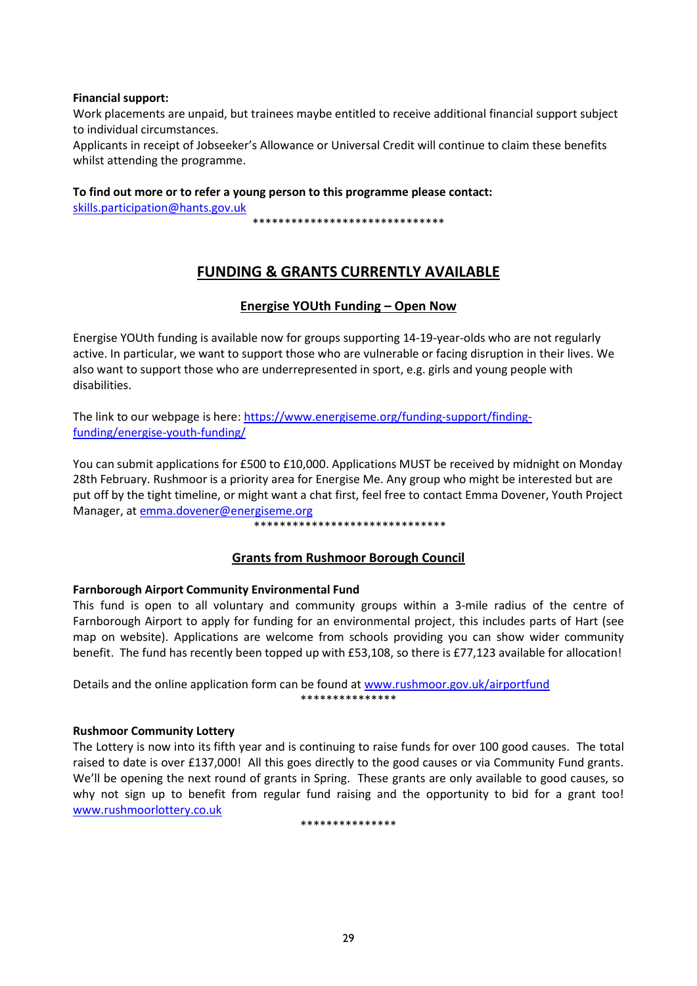#### **Financial support:**

Work placements are unpaid, but trainees maybe entitled to receive additional financial support subject to individual circumstances.

Applicants in receipt of Jobseeker's Allowance or Universal Credit will continue to claim these benefits whilst attending the programme.

**To find out more or to refer a young person to this programme please contact:**

[skills.participation@hants.gov.uk](mailto:skills.participation@hants.gov.uk)

\*\*\*\*\*\*\*\*\*\*\*\*\*\*\*\*\*\*\*\*\*\*\*\*\*\*\*\*\*\*

## **FUNDING & GRANTS CURRENTLY AVAILABLE**

### **Energise YOUth Funding – Open Now**

Energise YOUth funding is available now for groups supporting 14-19-year-olds who are not regularly active. In particular, we want to support those who are vulnerable or facing disruption in their lives. We also want to support those who are underrepresented in sport, e.g. girls and young people with disabilities.

The link to our webpage is here: [https://www.energiseme.org/funding-support/finding](https://www.energiseme.org/funding-support/finding-funding/energise-youth-funding/)[funding/energise-youth-funding/](https://www.energiseme.org/funding-support/finding-funding/energise-youth-funding/)

You can submit applications for £500 to £10,000. Applications MUST be received by midnight on Monday 28th February. Rushmoor is a priority area for Energise Me. Any group who might be interested but are put off by the tight timeline, or might want a chat first, feel free to contact Emma Dovener, Youth Project Manager, at **emma.dovener@energiseme.org** 

#### \*\*\*\*\*\*\*\*\*\*\*\*\*\*\*\*\*\*\*\*\*\*\*\*\*\*\*\*\*\*

### **Grants from Rushmoor Borough Council**

### **Farnborough Airport Community Environmental Fund**

This fund is open to all voluntary and community groups within a 3-mile radius of the centre of Farnborough Airport to apply for funding for an environmental project, this includes parts of Hart (see map on website). Applications are welcome from schools providing you can show wider community benefit. The fund has recently been topped up with £53,108, so there is £77,123 available for allocation!

Details and the online application form can be found at [www.rushmoor.gov.uk/airportfund](http://www.rushmoor.gov.uk/airportfund) \*\*\*\*\*\*\*\*\*\*\*\*\*\*\*

#### **Rushmoor Community Lottery**

The Lottery is now into its fifth year and is continuing to raise funds for over 100 good causes. The total raised to date is over £137,000! All this goes directly to the good causes or via Community Fund grants. We'll be opening the next round of grants in Spring. These grants are only available to good causes, so why not sign up to benefit from regular fund raising and the opportunity to bid for a grant too! [www.rushmoorlottery.co.uk](http://www.rushmoorlottery.co.uk/)

\*\*\*\*\*\*\*\*\*\*\*\*\*\*